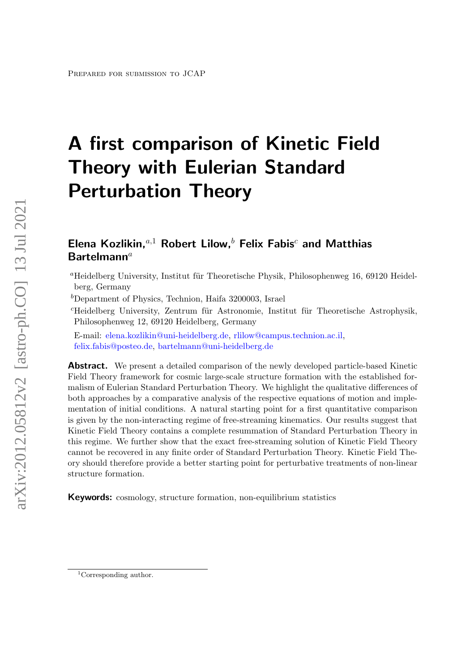# A first comparison of Kinetic Field Theory with Eulerian Standard Perturbation Theory

# Elena Kozlikin, $a,1}$  Robert Lilow, $b$  Felix Fabis<sup>c</sup> and Matthias  $Bar$ telmann<sup>a</sup>

 ${}^{a}$ Heidelberg University, Institut für Theoretische Physik, Philosophenweg 16, 69120 Heidelberg, Germany

 $b$ Department of Physics, Technion, Haifa 3200003, Israel

 ${}^{c}$ Heidelberg University, Zentrum für Astronomie, Institut für Theoretische Astrophysik, Philosophenweg 12, 69120 Heidelberg, Germany

E-mail: [elena.kozlikin@uni-heidelberg.de,](mailto:elena.kozlikin@uni-heidelberg.de) [rlilow@campus.technion.ac.il,](mailto:rlilow@campus.technion.ac.il) [felix.fabis@posteo.de,](mailto:felix.fabis@posteo.de) [bartelmann@uni-heidelberg.de](mailto:bartelmann@uni-heidelberg.de)

**Abstract.** We present a detailed comparison of the newly developed particle-based Kinetic Field Theory framework for cosmic large-scale structure formation with the established formalism of Eulerian Standard Perturbation Theory. We highlight the qualitative differences of both approaches by a comparative analysis of the respective equations of motion and implementation of initial conditions. A natural starting point for a first quantitative comparison is given by the non-interacting regime of free-streaming kinematics. Our results suggest that Kinetic Field Theory contains a complete resummation of Standard Perturbation Theory in this regime. We further show that the exact free-streaming solution of Kinetic Field Theory cannot be recovered in any finite order of Standard Perturbation Theory. Kinetic Field Theory should therefore provide a better starting point for perturbative treatments of non-linear structure formation.

Keywords: cosmology, structure formation, non-equilibrium statistics

<sup>&</sup>lt;sup>1</sup>Corresponding author.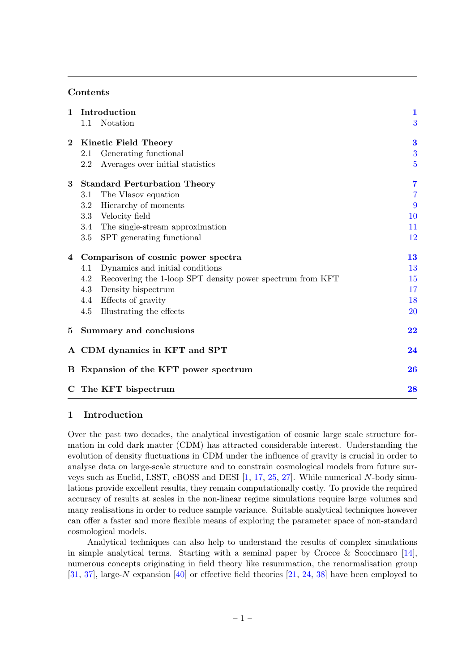# Contents

| $\mathbf{1}$   | Introduction                          |                                                           | $\mathbf{1}$   |
|----------------|---------------------------------------|-----------------------------------------------------------|----------------|
|                | 1.1                                   | Notation                                                  | 3              |
| $\bf{2}$       | Kinetic Field Theory                  |                                                           | $\bf{3}$       |
|                | 2.1                                   | Generating functional                                     | 3              |
|                | 2.2                                   | Averages over initial statistics                          | $\overline{5}$ |
| 3 <sup>1</sup> | <b>Standard Perturbation Theory</b>   |                                                           | $\overline{7}$ |
|                | 3.1                                   | The Vlasov equation                                       | $\overline{7}$ |
|                | $3.2\,$                               | Hierarchy of moments                                      | 9              |
|                | $3.3\,$                               | Velocity field                                            | 10             |
|                | 3.4                                   | The single-stream approximation                           | 11             |
|                | $3.5\,$                               | SPT generating functional                                 | 12             |
| 4              | Comparison of cosmic power spectra    |                                                           | 13             |
|                | 4.1                                   | Dynamics and initial conditions                           | 13             |
|                | 4.2                                   | Recovering the 1-loop SPT density power spectrum from KFT | 15             |
|                | 4.3                                   | Density bispectrum                                        | 17             |
|                |                                       | 4.4 Effects of gravity                                    | 18             |
|                | 4.5                                   | Illustrating the effects                                  | <b>20</b>      |
|                | 5 Summary and conclusions             |                                                           | 22             |
|                | A CDM dynamics in KFT and SPT         |                                                           | 24             |
|                | B Expansion of the KFT power spectrum |                                                           |                |
|                | C The KFT bispectrum                  |                                                           | 28             |

#### <span id="page-1-0"></span>1 Introduction

Over the past two decades, the analytical investigation of cosmic large scale structure formation in cold dark matter (CDM) has attracted considerable interest. Understanding the evolution of density fluctuations in CDM under the influence of gravity is crucial in order to analyse data on large-scale structure and to constrain cosmological models from future surveys such as Euclid, LSST, eBOSS and DESI [\[1,](#page-30-0) [17,](#page-31-0) [25,](#page-31-1) [27\]](#page-31-2). While numerical N-body simulations provide excellent results, they remain computationally costly. To provide the required accuracy of results at scales in the non-linear regime simulations require large volumes and many realisations in order to reduce sample variance. Suitable analytical techniques however can offer a faster and more flexible means of exploring the parameter space of non-standard cosmological models.

Analytical techniques can also help to understand the results of complex simulations in simple analytical terms. Starting with a seminal paper by Crocce & Scoccimaro [\[14\]](#page-30-1), numerous concepts originating in field theory like resummation, the renormalisation group [\[31,](#page-31-3) [37\]](#page-32-0), large-N expansion [\[40\]](#page-32-1) or effective field theories [\[21,](#page-31-4) [24,](#page-31-5) [38\]](#page-32-2) have been employed to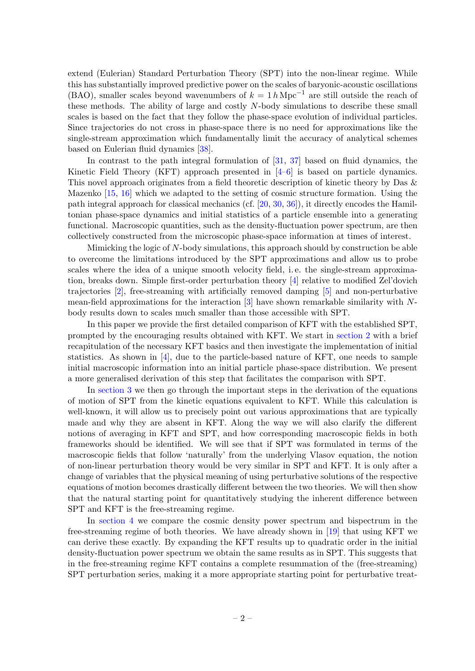extend (Eulerian) Standard Perturbation Theory (SPT) into the non-linear regime. While this has substantially improved predictive power on the scales of baryonic-acoustic oscillations (BAO), smaller scales beyond wavenumbers of  $k = 1 h \text{ Mpc}^{-1}$  are still outside the reach of these methods. The ability of large and costly  $N$ -body simulations to describe these small scales is based on the fact that they follow the phase-space evolution of individual particles. Since trajectories do not cross in phase-space there is no need for approximations like the single-stream approximation which fundamentally limit the accuracy of analytical schemes based on Eulerian fluid dynamics [\[38\]](#page-32-2).

In contrast to the path integral formulation of [\[31,](#page-31-3) [37\]](#page-32-0) based on fluid dynamics, the Kinetic Field Theory (KFT) approach presented in [\[4–](#page-30-2)[6\]](#page-30-3) is based on particle dynamics. This novel approach originates from a field theoretic description of kinetic theory by Das & Mazenko [\[15,](#page-30-4) [16\]](#page-30-5) which we adapted to the setting of cosmic structure formation. Using the path integral approach for classical mechanics (cf. [\[20,](#page-31-6) [30,](#page-31-7) [36\]](#page-32-3)), it directly encodes the Hamiltonian phase-space dynamics and initial statistics of a particle ensemble into a generating functional. Macroscopic quantities, such as the density-fluctuation power spectrum, are then collectively constructed from the microscopic phase-space information at times of interest.

Mimicking the logic of N-body simulations, this approach should by construction be able to overcome the limitations introduced by the SPT approximations and allow us to probe scales where the idea of a unique smooth velocity field, i. e. the single-stream approximation, breaks down. Simple first-order perturbation theory [\[4\]](#page-30-2) relative to modified Zel'dovich trajectories [\[2\]](#page-30-6), free-streaming with artificially removed damping [\[5\]](#page-30-7) and non-perturbative mean-field approximations for the interaction [\[3\]](#page-30-8) have shown remarkable similarity with Nbody results down to scales much smaller than those accessible with SPT.

In this paper we provide the first detailed comparison of KFT with the established SPT, prompted by the encouraging results obtained with KFT. We start in [section 2](#page-3-1) with a brief recapitulation of the necessary KFT basics and then investigate the implementation of initial statistics. As shown in  $[4]$ , due to the particle-based nature of KFT, one needs to sample initial macroscopic information into an initial particle phase-space distribution. We present a more generalised derivation of this step that facilitates the comparison with SPT.

In [section 3](#page-7-0) we then go through the important steps in the derivation of the equations of motion of SPT from the kinetic equations equivalent to KFT. While this calculation is well-known, it will allow us to precisely point out various approximations that are typically made and why they are absent in KFT. Along the way we will also clarify the different notions of averaging in KFT and SPT, and how corresponding macroscopic fields in both frameworks should be identified. We will see that if SPT was formulated in terms of the macroscopic fields that follow 'naturally' from the underlying Vlasov equation, the notion of non-linear perturbation theory would be very similar in SPT and KFT. It is only after a change of variables that the physical meaning of using perturbative solutions of the respective equations of motion becomes drastically different between the two theories. We will then show that the natural starting point for quantitatively studying the inherent difference between SPT and KFT is the free-streaming regime.

In [section 4](#page-13-0) we compare the cosmic density power spectrum and bispectrum in the free-streaming regime of both theories. We have already shown in [\[19\]](#page-31-8) that using KFT we can derive these exactly. By expanding the KFT results up to quadratic order in the initial density-fluctuation power spectrum we obtain the same results as in SPT. This suggests that in the free-streaming regime KFT contains a complete resummation of the (free-streaming) SPT perturbation series, making it a more appropriate starting point for perturbative treat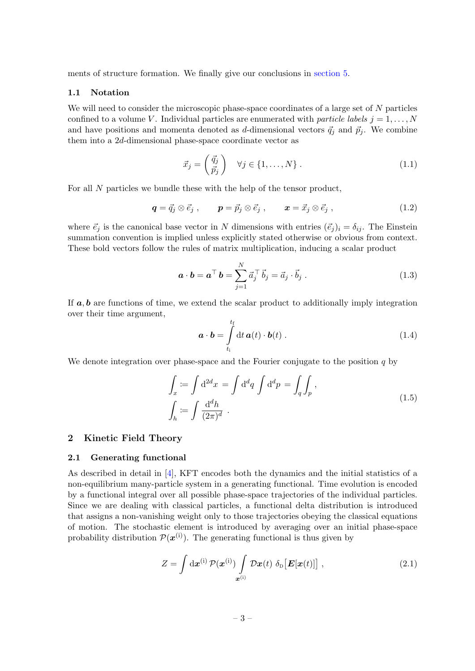ments of structure formation. We finally give our conclusions in [section 5.](#page-22-0)

#### <span id="page-3-0"></span>1.1 Notation

We will need to consider the microscopic phase-space coordinates of a large set of N particles confined to a volume V. Individual particles are enumerated with particle labels  $j = 1, \ldots, N$ and have positions and momenta denoted as d-dimensional vectors  $\vec{q}_j$  and  $\vec{p}_j$ . We combine them into a 2d-dimensional phase-space coordinate vector as

$$
\vec{x}_j = \begin{pmatrix} \vec{q}_j \\ \vec{p}_j \end{pmatrix} \quad \forall j \in \{1, \dots, N\} . \tag{1.1}
$$

For all N particles we bundle these with the help of the tensor product,

$$
\boldsymbol{q} = \vec{q}_j \otimes \vec{e}_j , \qquad \boldsymbol{p} = \vec{p}_j \otimes \vec{e}_j , \qquad \boldsymbol{x} = \vec{x}_j \otimes \vec{e}_j , \qquad (1.2)
$$

where  $\vec{e}_i$  is the canonical base vector in N dimensions with entries  $(\vec{e}_j)_i = \delta_{ij}$ . The Einstein summation convention is implied unless explicitly stated otherwise or obvious from context. These bold vectors follow the rules of matrix multiplication, inducing a scalar product

$$
\boldsymbol{a} \cdot \boldsymbol{b} = \boldsymbol{a}^{\top} \boldsymbol{b} = \sum_{j=1}^{N} \vec{a}_j^{\top} \vec{b}_j = \vec{a}_j \cdot \vec{b}_j . \qquad (1.3)
$$

If  $a, b$  are functions of time, we extend the scalar product to additionally imply integration over their time argument,

$$
\mathbf{a} \cdot \mathbf{b} = \int_{t_i}^{t_f} dt \, \mathbf{a}(t) \cdot \mathbf{b}(t) \,. \tag{1.4}
$$

We denote integration over phase-space and the Fourier conjugate to the position  $q$  by

$$
\int_{x} := \int d^{2}x = \int d^{d}q \int d^{d}p = \int_{q} \int_{p},
$$
\n
$$
\int_{h} := \int \frac{d^{d}h}{(2\pi)^{d}}.
$$
\n(1.5)

#### <span id="page-3-1"></span>2 Kinetic Field Theory

#### <span id="page-3-2"></span>2.1 Generating functional

As described in detail in  $[4]$ , KFT encodes both the dynamics and the initial statistics of a non-equilibrium many-particle system in a generating functional. Time evolution is encoded by a functional integral over all possible phase-space trajectories of the individual particles. Since we are dealing with classical particles, a functional delta distribution is introduced that assigns a non-vanishing weight only to those trajectories obeying the classical equations of motion. The stochastic element is introduced by averaging over an initial phase-space probability distribution  $\mathcal{P}(\boldsymbol{x}^{(i)})$ . The generating functional is thus given by

<span id="page-3-3"></span>
$$
Z = \int \mathrm{d}\boldsymbol{x}^{(i)} \mathcal{P}(\boldsymbol{x}^{(i)}) \int \limits_{\boldsymbol{x}^{(i)}} \mathcal{D}\boldsymbol{x}(t) \delta_{\mathrm{D}}[\boldsymbol{E}[\boldsymbol{x}(t)]] \;, \tag{2.1}
$$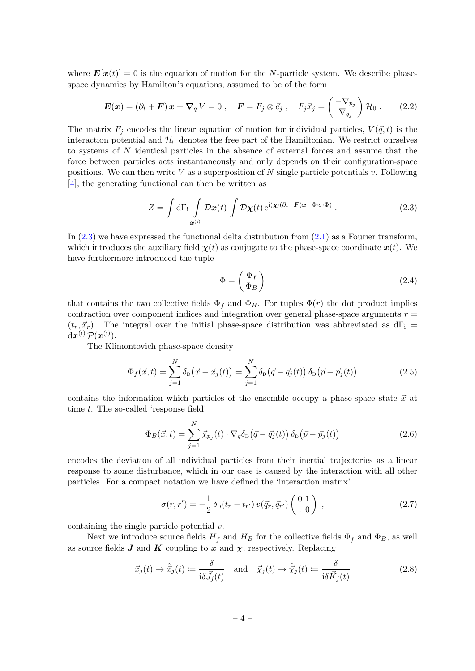where  $\mathbf{E}[\mathbf{x}(t)] = 0$  is the equation of motion for the N-particle system. We describe phasespace dynamics by Hamilton's equations, assumed to be of the form

<span id="page-4-4"></span>
$$
\boldsymbol{E}(\boldsymbol{x}) = (\partial_t + \boldsymbol{F})\,\boldsymbol{x} + \boldsymbol{\nabla}_q\,V = 0\;, \quad \boldsymbol{F} = F_j \otimes \vec{e}_j\;, \quad F_j\vec{x}_j = \begin{pmatrix} -\nabla_{p_j} \\ \nabla_{q_j} \end{pmatrix} \mathcal{H}_0\;.
$$
 (2.2)

The matrix  $F_j$  encodes the linear equation of motion for individual particles,  $V(\vec{q}, t)$  is the interaction potential and  $\mathcal{H}_0$  denotes the free part of the Hamiltonian. We restrict ourselves to systems of N identical particles in the absence of external forces and assume that the force between particles acts instantaneously and only depends on their configuration-space positions. We can then write V as a superposition of N single particle potentials v. Following [\[4\]](#page-30-2), the generating functional can then be written as

<span id="page-4-0"></span>
$$
Z = \int d\Gamma_i \int_{\mathbf{x}^{(i)}} \mathcal{D}\mathbf{x}(t) \int \mathcal{D}\mathbf{\chi}(t) e^{i(\mathbf{x}\cdot(\partial_t + \mathbf{F})\mathbf{x} + \Phi \cdot \boldsymbol{\sigma} \cdot \Phi)}.
$$
 (2.3)

In  $(2.3)$  we have expressed the functional delta distribution from  $(2.1)$  as a Fourier transform, which introduces the auxiliary field  $\chi(t)$  as conjugate to the phase-space coordinate  $x(t)$ . We have furthermore introduced the tuple

$$
\Phi = \begin{pmatrix} \Phi_f \\ \Phi_B \end{pmatrix} \tag{2.4}
$$

that contains the two collective fields  $\Phi_f$  and  $\Phi_B$ . For tuples  $\Phi(r)$  the dot product implies contraction over component indices and integration over general phase-space arguments  $r =$  $(t_r, \vec{x}_r)$ . The integral over the initial phase-space distribution was abbreviated as dΓ<sub>i</sub> =  $\mathrm{d}\boldsymbol{x}^{(\mathrm{i})} \, \mathcal{P}(\boldsymbol{x}^{(\mathrm{i})}).$ 

The Klimontovich phase-space density

<span id="page-4-2"></span>
$$
\Phi_f(\vec{x},t) = \sum_{j=1}^N \delta_{\rm D}(\vec{x} - \vec{x}_j(t)) = \sum_{j=1}^N \delta_{\rm D}(\vec{q} - \vec{q}_j(t)) \delta_{\rm D}(\vec{p} - \vec{p}_j(t)) \tag{2.5}
$$

contains the information which particles of the ensemble occupy a phase-space state  $\vec{x}$  at time t. The so-called 'response field'

<span id="page-4-1"></span>
$$
\Phi_B(\vec{x},t) = \sum_{j=1}^N \vec{\chi}_{p_j}(t) \cdot \nabla_q \delta_\text{D}(\vec{q} - \vec{q}_j(t)) \delta_\text{D}(\vec{p} - \vec{p}_j(t)) \tag{2.6}
$$

encodes the deviation of all individual particles from their inertial trajectories as a linear response to some disturbance, which in our case is caused by the interaction with all other particles. For a compact notation we have defined the 'interaction matrix'

$$
\sigma(r,r') = -\frac{1}{2} \,\delta_{\rm D}(t_r - t_{r'})\,v(\vec{q}_r, \vec{q}_{r'})\begin{pmatrix} 0 & 1\\ 1 & 0 \end{pmatrix}\,,\tag{2.7}
$$

containing the single-particle potential  $v$ .

Next we introduce source fields  $H_f$  and  $H_B$  for the collective fields  $\Phi_f$  and  $\Phi_B$ , as well as source fields  $J$  and  $K$  coupling to  $x$  and  $\chi$ , respectively. Replacing

<span id="page-4-3"></span>
$$
\vec{x}_j(t) \to \hat{\vec{x}}_j(t) := \frac{\delta}{i\delta \vec{J}_j(t)} \quad \text{and} \quad \vec{\chi}_j(t) \to \hat{\vec{\chi}}_j(t) := \frac{\delta}{i\delta \vec{K}_j(t)} \tag{2.8}
$$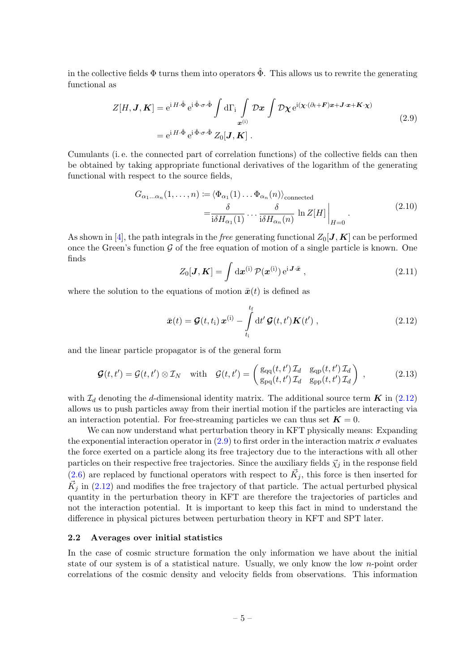in the collective fields  $\Phi$  turns them into operators  $\hat{\Phi}$ . This allows us to rewrite the generating functional as

$$
Z[H, \mathbf{J}, \mathbf{K}] = e^{i H \cdot \hat{\Phi}} e^{i \hat{\Phi} \cdot \sigma \cdot \hat{\Phi}} \int d\Gamma_i \int_{\mathbf{x}^{(i)}} \mathcal{D} \mathbf{x} \int \mathcal{D} \chi e^{i (\chi \cdot (\partial_t + \mathbf{F}) \mathbf{x} + \mathbf{J} \cdot \mathbf{x} + \mathbf{K} \cdot \chi)}
$$
  
=  $e^{i H \cdot \hat{\Phi}} e^{i \hat{\Phi} \cdot \sigma \cdot \hat{\Phi}} Z_0[\mathbf{J}, \mathbf{K}].$  (2.9)

<span id="page-5-2"></span>Cumulants (i. e. the connected part of correlation functions) of the collective fields can then be obtained by taking appropriate functional derivatives of the logarithm of the generating functional with respect to the source fields,

$$
G_{\alpha_1...\alpha_n}(1,...,n) := \langle \Phi_{\alpha_1}(1)...\Phi_{\alpha_n}(n) \rangle_{\text{connected}}
$$

$$
= \frac{\delta}{i\delta H_{\alpha_1}(1)}...\frac{\delta}{i\delta H_{\alpha_n}(n)} \ln Z[H] \Big|_{H=0}.
$$
(2.10)

As shown in [\[4\]](#page-30-2), the path integrals in the free generating functional  $Z_0[J, K]$  can be performed once the Green's function  $\mathcal G$  of the free equation of motion of a single particle is known. One finds

<span id="page-5-3"></span>
$$
Z_0[\mathbf{J}, \mathbf{K}] = \int \mathrm{d}\mathbf{x}^{(i)} \mathcal{P}(\mathbf{x}^{(i)}) e^{i \mathbf{J} \cdot \bar{\mathbf{x}}}, \qquad (2.11)
$$

where the solution to the equations of motion  $\bar{x}(t)$  is defined as

<span id="page-5-1"></span>
$$
\bar{\boldsymbol{x}}(t) = \boldsymbol{\mathcal{G}}(t, t_{\rm i}) \boldsymbol{x}^{(i)} - \int_{t_{\rm i}}^{t_{\rm f}} {\rm d}t' \boldsymbol{\mathcal{G}}(t, t') \boldsymbol{K}(t') , \qquad (2.12)
$$

and the linear particle propagator is of the general form

$$
\mathcal{G}(t,t') = \mathcal{G}(t,t') \otimes \mathcal{I}_N \quad \text{with} \quad \mathcal{G}(t,t') = \begin{pmatrix} g_{qq}(t,t') \mathcal{I}_d & g_{qp}(t,t') \mathcal{I}_d \\ g_{pq}(t,t') \mathcal{I}_d & g_{pp}(t,t') \mathcal{I}_d \end{pmatrix} , \tag{2.13}
$$

with  $\mathcal{I}_d$  denoting the d-dimensional identity matrix. The additional source term  $\boldsymbol{K}$  in [\(2.12\)](#page-5-1) allows us to push particles away from their inertial motion if the particles are interacting via an interaction potential. For free-streaming particles we can thus set  $K = 0$ .

We can now understand what perturbation theory in KFT physically means: Expanding the exponential interaction operator in [\(2.9\)](#page-5-2) to first order in the interaction matrix  $\sigma$  evaluates the force exerted on a particle along its free trajectory due to the interactions with all other particles on their respective free trajectories. Since the auxiliary fields  $\vec{\chi}_i$  in the response field  $(2.6)$  are replaced by functional operators with respect to  $\vec{K}_j$ , this force is then inserted for  $\vec{K}_j$  in [\(2.12\)](#page-5-1) and modifies the free trajectory of that particle. The actual perturbed physical quantity in the perturbation theory in KFT are therefore the trajectories of particles and not the interaction potential. It is important to keep this fact in mind to understand the difference in physical pictures between perturbation theory in KFT and SPT later.

#### <span id="page-5-0"></span>2.2 Averages over initial statistics

In the case of cosmic structure formation the only information we have about the initial state of our system is of a statistical nature. Usually, we only know the low n-point order correlations of the cosmic density and velocity fields from observations. This information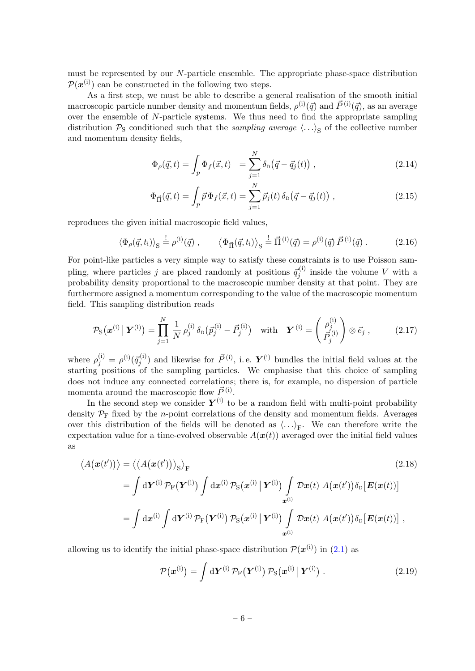must be represented by our N-particle ensemble. The appropriate phase-space distribution  $\mathcal{P}(\boldsymbol{x}^{(i)})$  can be constructed in the following two steps.

As a first step, we must be able to describe a general realisation of the smooth initial macroscopic particle number density and momentum fields,  $\rho^{(i)}(\vec{q})$  and  $\vec{P}^{(i)}(\vec{q})$ , as an average over the ensemble of N-particle systems. We thus need to find the appropriate sampling distribution  $P_S$  conditioned such that the *sampling average*  $\langle \ldots \rangle_S$  of the collective number and momentum density fields,

$$
\Phi_{\rho}(\vec{q},t) = \int_{p} \Phi_{f}(\vec{x},t) = \sum_{j=1}^{N} \delta_{\rm D}(\vec{q} - \vec{q}_{j}(t)), \qquad (2.14)
$$

$$
\Phi_{\vec{\Pi}}(\vec{q},t) = \int_p \vec{p} \Phi_f(\vec{x},t) = \sum_{j=1}^N \vec{p}_j(t) \,\delta_{\text{D}}(\vec{q} - \vec{q}_j(t)) \;, \tag{2.15}
$$

reproduces the given initial macroscopic field values,

$$
\langle \Phi_{\rho}(\vec{q}, t_{\rm i}) \rangle_{\rm S} \stackrel{!}{=} \rho^{(i)}(\vec{q}) \;, \qquad \langle \Phi_{\vec{\Pi}}(\vec{q}, t_{\rm i}) \rangle_{\rm S} \stackrel{!}{=} \vec{\Pi}^{(i)}(\vec{q}) = \rho^{(i)}(\vec{q}) \vec{P}^{(i)}(\vec{q}) \; . \tag{2.16}
$$

For point-like particles a very simple way to satisfy these constraints is to use Poisson sampling, where particles j are placed randomly at positions  $\vec{q}_j^{(i)}$  inside the volume V with a probability density proportional to the macroscopic number density at that point. They are furthermore assigned a momentum corresponding to the value of the macroscopic momentum field. This sampling distribution reads

<span id="page-6-1"></span>
$$
\mathcal{P}_{\rm S}(\boldsymbol{x}^{(i)} \mid \boldsymbol{Y}^{(i)}) = \prod_{j=1}^N \frac{1}{N} \rho_j^{(i)} \delta_{\rm D}(\vec{p}_j^{(i)} - \vec{P}_j^{(i)}) \quad \text{with} \quad \boldsymbol{Y}^{(i)} = \begin{pmatrix} \rho_j^{(i)} \\ \vec{P}_j^{(i)} \end{pmatrix} \otimes \vec{e}_j , \qquad (2.17)
$$

where  $\rho_j^{(i)} = \rho^{(i)}(\vec{q}_j^{(i)})$  and likewise for  $\vec{P}^{(i)}$ , i.e.  $\bm{Y}^{(i)}$  bundles the initial field values at the starting positions of the sampling particles. We emphasise that this choice of sampling does not induce any connected correlations; there is, for example, no dispersion of particle momenta around the macroscopic flow  $\vec{P}^{(i)}$ .

In the second step we consider  $Y^{(i)}$  to be a random field with multi-point probability density  $\mathcal{P}_F$  fixed by the *n*-point correlations of the density and momentum fields. Averages over this distribution of the fields will be denoted as  $\langle \ldots \rangle_F$ . We can therefore write the expectation value for a time-evolved observable  $A(x(t))$  averaged over the initial field values as

$$
\langle A(\boldsymbol{x}(t')) \rangle = \langle \langle A(\boldsymbol{x}(t')) \rangle_{\mathrm{S}} \rangle_{\mathrm{F}}
$$
\n
$$
= \int \mathrm{d} \mathbf{Y}^{(\mathrm{i})} \mathcal{P}_{\mathrm{F}}(\mathbf{Y}^{(\mathrm{i})}) \int \mathrm{d} \mathbf{x}^{(\mathrm{i})} \mathcal{P}_{\mathrm{S}}(\mathbf{x}^{(\mathrm{i})} \mid \mathbf{Y}^{(\mathrm{i})}) \int \mathcal{D}\boldsymbol{x}(t) \, A(\boldsymbol{x}(t')) \delta_{\mathrm{D}}[\boldsymbol{E}(\boldsymbol{x}(t))]
$$
\n
$$
= \int \mathrm{d} \mathbf{x}^{(\mathrm{i})} \int \mathrm{d} \mathbf{Y}^{(\mathrm{i})} \mathcal{P}_{\mathrm{F}}(\mathbf{Y}^{(\mathrm{i})}) \mathcal{P}_{\mathrm{S}}(\mathbf{x}^{(\mathrm{i})} \mid \mathbf{Y}^{(\mathrm{i})}) \int \mathcal{D}\boldsymbol{x}(t) \, A(\boldsymbol{x}(t')) \delta_{\mathrm{D}}[\boldsymbol{E}(\boldsymbol{x}(t))] \, ,
$$
\n(2.18)

allowing us to identify the initial phase-space distribution  $\mathcal{P}(\boldsymbol{x}^{(i)})$  in [\(2.1\)](#page-3-3) as

<span id="page-6-0"></span>
$$
\mathcal{P}(\boldsymbol{x}^{(i)}) = \int d\boldsymbol{Y}^{(i)} \mathcal{P}_{F}(\boldsymbol{Y}^{(i)}) \mathcal{P}_{S}(\boldsymbol{x}^{(i)} | \boldsymbol{Y}^{(i)}) . \qquad (2.19)
$$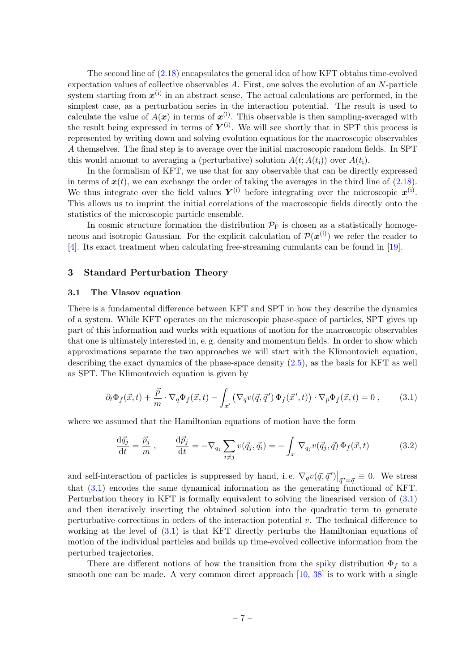The second line of [\(2.18\)](#page-6-0) encapsulates the general idea of how KFT obtains time-evolved expectation values of collective observables A. First, one solves the evolution of an N-particle system starting from  $x^{(i)}$  in an abstract sense. The actual calculations are performed, in the simplest case, as a perturbation series in the interaction potential. The result is used to calculate the value of  $A(x)$  in terms of  $x^{(i)}$ . This observable is then sampling-averaged with the result being expressed in terms of  $Y^{(i)}$ . We will see shortly that in SPT this process is represented by writing down and solving evolution equations for the macroscopic observables A themselves. The final step is to average over the initial macroscopic random fields. In SPT this would amount to averaging a (perturbative) solution  $A(t; A(t_i))$  over  $A(t_i)$ .

In the formalism of KFT, we use that for any observable that can be directly expressed in terms of  $x(t)$ , we can exchange the order of taking the averages in the third line of  $(2.18)$ . We thus integrate over the field values  $Y^{(i)}$  before integrating over the microscopic  $x^{(i)}$ . This allows us to imprint the initial correlations of the macroscopic fields directly onto the statistics of the microscopic particle ensemble.

In cosmic structure formation the distribution  $\mathcal{P}_F$  is chosen as a statistically homogeneous and isotropic Gaussian. For the explicit calculation of  $\mathcal{P}(\mathbf{x}^{(i)})$  we refer the reader to [\[4\]](#page-30-2). Its exact treatment when calculating free-streaming cumulants can be found in [\[19\]](#page-31-8).

#### <span id="page-7-0"></span>3 Standard Perturbation Theory

## <span id="page-7-1"></span>3.1 The Vlasov equation

There is a fundamental difference between KFT and SPT in how they describe the dynamics of a system. While KFT operates on the microscopic phase-space of particles, SPT gives up part of this information and works with equations of motion for the macroscopic observables that one is ultimately interested in, e. g. density and momentum fields. In order to show which approximations separate the two approaches we will start with the Klimontovich equation, describing the exact dynamics of the phase-space density [\(2.5\)](#page-4-2), as the basis for KFT as well as SPT. The Klimontovich equation is given by

<span id="page-7-2"></span>
$$
\partial_t \Phi_f(\vec{x},t) + \frac{\vec{p}}{m} \cdot \nabla_q \Phi_f(\vec{x},t) - \int_{x'} \left( \nabla_q v(\vec{q},\vec{q}') \Phi_f(\vec{x}',t) \right) \cdot \nabla_p \Phi_f(\vec{x},t) = 0 ,\qquad (3.1)
$$

where we assumed that the Hamiltonian equations of motion have the form

$$
\frac{\mathrm{d}\vec{q}_j}{\mathrm{d}t} = \frac{\vec{p}_j}{m}, \qquad \frac{\mathrm{d}\vec{p}_j}{\mathrm{d}t} = -\nabla_{q_j} \sum_{i \neq j} v(\vec{q}_j, \vec{q}_i) = -\int_x \nabla_{q_j} v(\vec{q}_j, \vec{q}) \Phi_f(\vec{x}, t) \tag{3.2}
$$

and self-interaction of particles is suppressed by hand, i.e.  $\nabla_q v(\vec{q}, \vec{q}')|_{\vec{q}' = \vec{q}} \equiv 0$ . We stress that [\(3.1\)](#page-7-2) encodes the same dynamical information as the generating functional of KFT. Perturbation theory in KFT is formally equivalent to solving the linearised version of [\(3.1\)](#page-7-2) and then iteratively inserting the obtained solution into the quadratic term to generate perturbative corrections in orders of the interaction potential  $v$ . The technical difference to working at the level of  $(3.1)$  is that KFT directly perturbs the Hamiltonian equations of motion of the individual particles and builds up time-evolved collective information from the perturbed trajectories.

There are different notions of how the transition from the spiky distribution  $\Phi_f$  to a smooth one can be made. A very common direct approach [\[10,](#page-30-9) [38\]](#page-32-2) is to work with a single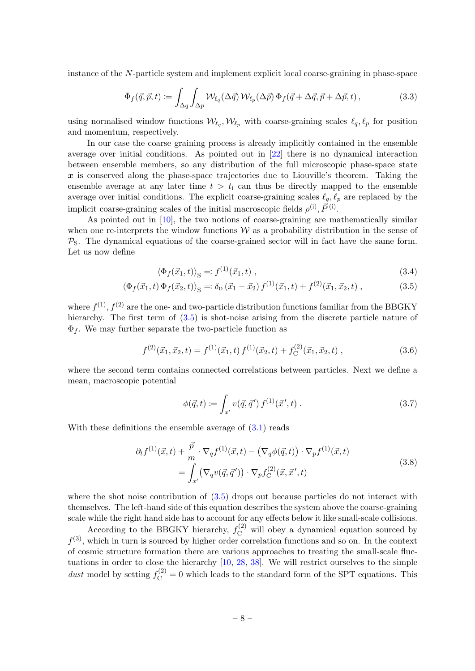instance of the N-particle system and implement explicit local coarse-graining in phase-space

$$
\bar{\Phi}_f(\vec{q}, \vec{p}, t) \coloneqq \int_{\Delta q} \int_{\Delta p} \mathcal{W}_{\ell_q}(\Delta \vec{q}) \, \mathcal{W}_{\ell_p}(\Delta \vec{p}) \, \Phi_f(\vec{q} + \Delta \vec{q}, \vec{p} + \Delta \vec{p}, t) \,, \tag{3.3}
$$

using normalised window functions  $\mathcal{W}_{\ell_q}, \mathcal{W}_{\ell_p}$  with coarse-graining scales  $\ell_q, \ell_p$  for position and momentum, respectively.

In our case the coarse graining process is already implicitly contained in the ensemble average over initial conditions. As pointed out in [\[22\]](#page-31-9) there is no dynamical interaction between ensemble members, so any distribution of the full microscopic phase-space state  $x$  is conserved along the phase-space trajectories due to Liouville's theorem. Taking the ensemble average at any later time  $t > t_i$  can thus be directly mapped to the ensemble average over initial conditions. The explicit coarse-graining scales  $\ell_q, \ell_p$  are replaced by the implicit coarse-graining scales of the initial macroscopic fields  $\rho^{(i)}$ ,  $\vec{P}^{(i)}$ .

As pointed out in [\[10\]](#page-30-9), the two notions of coarse-graining are mathematically similar when one re-interprets the window functions  $W$  as a probability distribution in the sense of  $P<sub>S</sub>$ . The dynamical equations of the coarse-grained sector will in fact have the same form. Let us now define

$$
\langle \Phi_f(\vec{x}_1, t) \rangle_{\mathcal{S}} =: f^{(1)}(\vec{x}_1, t) , \qquad (3.4)
$$

$$
\langle \Phi_f(\vec{x}_1, t) \Phi_f(\vec{x}_2, t) \rangle_{\mathcal{S}} = \delta_{\mathcal{D}}(\vec{x}_1 - \vec{x}_2) f^{(1)}(\vec{x}_1, t) + f^{(2)}(\vec{x}_1, \vec{x}_2, t) , \qquad (3.5)
$$

where  $f^{(1)}$ ,  $f^{(2)}$  are the one- and two-particle distribution functions familiar from the BBGKY hierarchy. The first term of  $(3.5)$  is shot-noise arising from the discrete particle nature of  $\Phi_f$ . We may further separate the two-particle function as

$$
f^{(2)}(\vec{x}_1, \vec{x}_2, t) = f^{(1)}(\vec{x}_1, t) f^{(1)}(\vec{x}_2, t) + f_C^{(2)}(\vec{x}_1, \vec{x}_2, t) , \qquad (3.6)
$$

where the second term contains connected correlations between particles. Next we define a mean, macroscopic potential

<span id="page-8-1"></span><span id="page-8-0"></span>
$$
\phi(\vec{q},t) := \int_{x'} v(\vec{q},\vec{q}') f^{(1)}(\vec{x}',t) . \qquad (3.7)
$$

With these definitions the ensemble average of  $(3.1)$  reads

$$
\partial_t f^{(1)}(\vec{x}, t) + \frac{\vec{p}}{m} \cdot \nabla_q f^{(1)}(\vec{x}, t) - (\nabla_q \phi(\vec{q}, t)) \cdot \nabla_p f^{(1)}(\vec{x}, t) \n= \int_{x'} (\nabla_q v(\vec{q}, \vec{q}')) \cdot \nabla_p f_C^{(2)}(\vec{x}, \vec{x}', t)
$$
\n(3.8)

where the shot noise contribution of [\(3.5\)](#page-8-0) drops out because particles do not interact with themselves. The left-hand side of this equation describes the system above the coarse-graining scale while the right hand side has to account for any effects below it like small-scale collisions.

According to the BBGKY hierarchy,  $f_{\rm C}^{(2)}$  will obey a dynamical equation sourced by  $f^{(3)}$ , which in turn is sourced by higher order correlation functions and so on. In the context of cosmic structure formation there are various approaches to treating the small-scale fluctuations in order to close the hierarchy [\[10,](#page-30-9) [28,](#page-31-10) [38\]](#page-32-2). We will restrict ourselves to the simple dust model by setting  $f_C^{(2)} = 0$  which leads to the standard form of the SPT equations. This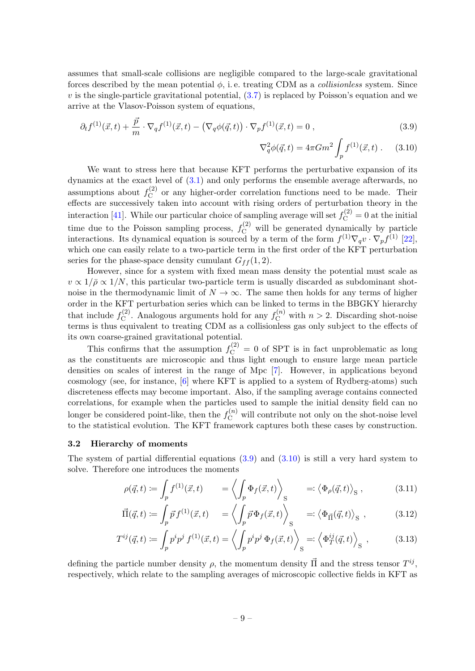assumes that small-scale collisions are negligible compared to the large-scale gravitational forces described by the mean potential  $\phi$ , i.e. treating CDM as a *collisionless* system. Since  $v$  is the single-particle gravitational potential,  $(3.7)$  is replaced by Poisson's equation and we arrive at the Vlasov-Poisson system of equations,

$$
\partial_t f^{(1)}(\vec{x}, t) + \frac{\vec{p}}{m} \cdot \nabla_q f^{(1)}(\vec{x}, t) - (\nabla_q \phi(\vec{q}, t)) \cdot \nabla_p f^{(1)}(\vec{x}, t) = 0 , \qquad (3.9)
$$

<span id="page-9-2"></span><span id="page-9-1"></span>
$$
\nabla_q^2 \phi(\vec{q}, t) = 4\pi G m^2 \int_p f^{(1)}(\vec{x}, t) .
$$
 (3.10)

We want to stress here that because KFT performs the perturbative expansion of its dynamics at the exact level of [\(3.1\)](#page-7-2) and only performs the ensemble average afterwards, no assumptions about  $f_C^{(2)}$  $C^{(2)}_{\text{C}}$  or any higher-order correlation functions need to be made. Their effects are successively taken into account with rising orders of perturbation theory in the interaction [\[41\]](#page-32-4). While our particular choice of sampling average will set  $f_C^{(2)} = 0$  at the initial time due to the Poisson sampling process,  $f_C^{(2)}$  will be generated dynamically by particle interactions. Its dynamical equation is sourced by a term of the form  $f^{(1)}\nabla_q v \cdot \nabla_p f^{(1)}$  [\[22\]](#page-31-9), which one can easily relate to a two-particle term in the first order of the KFT perturbation series for the phase-space density cumulant  $G_{ff} (1, 2)$ .

However, since for a system with fixed mean mass density the potential must scale as  $v \propto 1/\bar{\rho} \propto 1/N$ , this particular two-particle term is usually discarded as subdominant shotnoise in the thermodynamic limit of  $N \to \infty$ . The same then holds for any terms of higher order in the KFT perturbation series which can be linked to terms in the BBGKY hierarchy that include  $f_C^{(2)}$  $C^{(2)}$ . Analogous arguments hold for any  $f_C^{(n)}$  with  $n > 2$ . Discarding shot-noise terms is thus equivalent to treating CDM as a collisionless gas only subject to the effects of its own coarse-grained gravitational potential.

This confirms that the assumption  $f_C^{(2)} = 0$  of SPT is in fact unproblematic as long as the constituents are microscopic and thus light enough to ensure large mean particle densities on scales of interest in the range of Mpc [\[7\]](#page-30-10). However, in applications beyond cosmology (see, for instance, [\[6\]](#page-30-3) where KFT is applied to a system of Rydberg-atoms) such discreteness effects may become important. Also, if the sampling average contains connected correlations, for example when the particles used to sample the initial density field can no longer be considered point-like, then the  $f_{\text{C}}^{(n)}$  will contribute not only on the shot-noise level to the statistical evolution. The KFT framework captures both these cases by construction.

#### <span id="page-9-0"></span>3.2 Hierarchy of moments

The system of partial differential equations  $(3.9)$  and  $(3.10)$  is still a very hard system to solve. Therefore one introduces the moments

<span id="page-9-3"></span>
$$
\rho(\vec{q},t) := \int_p f^{(1)}(\vec{x},t) \qquad \left. = \left\langle \int_p \Phi_f(\vec{x},t) \right\rangle_{\mathcal{S}} \qquad \left. =: \left\langle \Phi_\rho(\vec{q},t) \right\rangle_{\mathcal{S}}, \qquad (3.11)
$$

<span id="page-9-4"></span>
$$
\vec{\Pi}(\vec{q},t) := \int_p \vec{p} f^{(1)}(\vec{x},t) \quad = \left\langle \int_p \vec{p} \Phi_f(\vec{x},t) \right\rangle_{\mathcal{S}} \quad =: \left\langle \Phi_{\vec{\Pi}}(\vec{q},t) \right\rangle_{\mathcal{S}}, \tag{3.12}
$$

$$
T^{ij}(\vec{q},t) \coloneqq \int_p p^i p^j f^{(1)}(\vec{x},t) = \left\langle \int_p p^i p^j \, \Phi_f(\vec{x},t) \right\rangle_{\mathcal{S}} =: \left\langle \Phi_T^{ij}(\vec{q},t) \right\rangle_{\mathcal{S}},\tag{3.13}
$$

defining the particle number density  $\rho$ , the momentum density  $\vec{\Pi}$  and the stress tensor  $T^{ij}$ , respectively, which relate to the sampling averages of microscopic collective fields in KFT as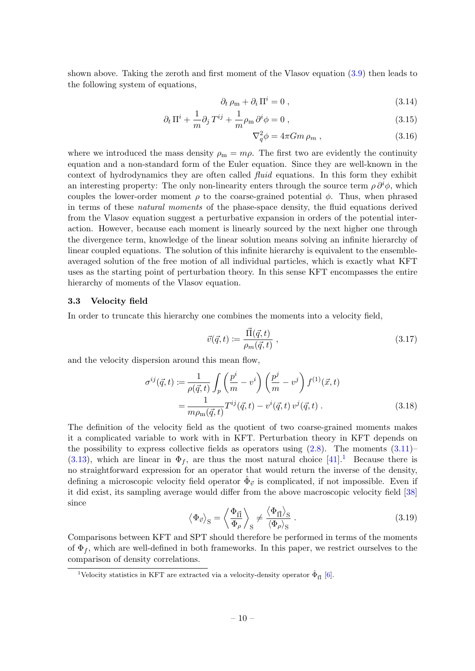shown above. Taking the zeroth and first moment of the Vlasov equation [\(3.9\)](#page-9-1) then leads to the following system of equations,

$$
\partial_t \rho_m + \partial_i \Pi^i = 0 \,, \tag{3.14}
$$

$$
\partial_t \Pi^i + \frac{1}{m} \partial_j T^{ij} + \frac{1}{m} \rho_m \partial^i \phi = 0 , \qquad (3.15)
$$

<span id="page-10-5"></span><span id="page-10-4"></span>
$$
\nabla_q^2 \phi = 4\pi G m \,\rho_m \,,\tag{3.16}
$$

where we introduced the mass density  $\rho_m = m\rho$ . The first two are evidently the continuity equation and a non-standard form of the Euler equation. Since they are well-known in the context of hydrodynamics they are often called fluid equations. In this form they exhibit an interesting property: The only non-linearity enters through the source term  $\rho \partial^i \phi$ , which couples the lower-order moment  $\rho$  to the coarse-grained potential  $\phi$ . Thus, when phrased in terms of these natural moments of the phase-space density, the fluid equations derived from the Vlasov equation suggest a perturbative expansion in orders of the potential interaction. However, because each moment is linearly sourced by the next higher one through the divergence term, knowledge of the linear solution means solving an infinite hierarchy of linear coupled equations. The solution of this infinite hierarchy is equivalent to the ensembleaveraged solution of the free motion of all individual particles, which is exactly what KFT uses as the starting point of perturbation theory. In this sense KFT encompasses the entire hierarchy of moments of the Vlasov equation.

#### <span id="page-10-0"></span>3.3 Velocity field

In order to truncate this hierarchy one combines the moments into a velocity field,

<span id="page-10-3"></span><span id="page-10-2"></span>
$$
\vec{v}(\vec{q},t) \coloneqq \frac{\vec{\Pi}(\vec{q},t)}{\rho_m(\vec{q},t)} ,\qquad(3.17)
$$

and the velocity dispersion around this mean flow,

$$
\sigma^{ij}(\vec{q},t) \coloneqq \frac{1}{\rho(\vec{q},t)} \int_{p} \left(\frac{p^{i}}{m} - v^{i}\right) \left(\frac{p^{j}}{m} - v^{j}\right) f^{(1)}(\vec{x},t) \n= \frac{1}{m\rho_{\rm m}(\vec{q},t)} T^{ij}(\vec{q},t) - v^{i}(\vec{q},t) v^{j}(\vec{q},t) .
$$
\n(3.18)

The definition of the velocity field as the quotient of two coarse-grained moments makes it a complicated variable to work with in KFT. Perturbation theory in KFT depends on the possibility to express collective fields as operators using  $(2.8)$ . The moments  $(3.11)$ – [\(3.13\)](#page-9-4), which are linear in  $\Phi_f$ , are thus the most natural choice [\[41\]](#page-32-4).<sup>[1](#page-10-1)</sup> Because there is no straightforward expression for an operator that would return the inverse of the density, defining a microscopic velocity field operator  $\hat{\Phi}_{\vec{v}}$  is complicated, if not impossible. Even if it did exist, its sampling average would differ from the above macroscopic velocity field [\[38\]](#page-32-2) since

$$
\left\langle \Phi_{\vec{v}} \right\rangle_{\mathcal{S}} = \left\langle \frac{\Phi_{\vec{\Pi}}}{\Phi_{\rho}} \right\rangle_{\mathcal{S}} \neq \frac{\left\langle \Phi_{\vec{\Pi}} \right\rangle_{\mathcal{S}}}{\left\langle \Phi_{\rho} \right\rangle_{\mathcal{S}}} \,. \tag{3.19}
$$

Comparisons between KFT and SPT should therefore be performed in terms of the moments of  $\Phi_f$ , which are well-defined in both frameworks. In this paper, we restrict ourselves to the comparison of density correlations.

<span id="page-10-1"></span><sup>&</sup>lt;sup>1</sup>Velocity statistics in KFT are extracted via a velocity-density operator  $\hat{\Phi}_{\vec{\Pi}}$  [\[6\]](#page-30-3).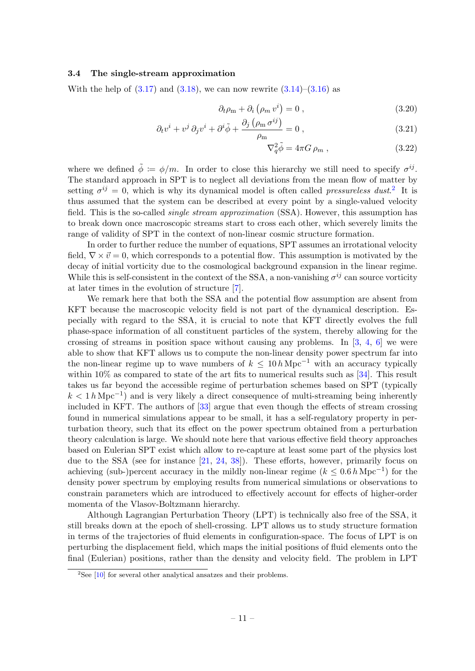#### <span id="page-11-0"></span>3.4 The single-stream approximation

With the help of  $(3.17)$  and  $(3.18)$ , we can now rewrite  $(3.14)$ – $(3.16)$  as

$$
\partial_t \rho_m + \partial_i \left( \rho_m v^i \right) = 0 , \qquad (3.20)
$$

$$
\partial_t v^i + v^j \partial_j v^i + \partial^i \tilde{\phi} + \frac{\partial_j \left( \rho_m \sigma^{ij} \right)}{\rho_m} = 0 , \qquad (3.21)
$$

<span id="page-11-4"></span><span id="page-11-3"></span><span id="page-11-2"></span>
$$
\nabla_q^2 \tilde{\phi} = 4\pi G \,\rho_m \,, \tag{3.22}
$$

where we defined  $\tilde{\phi} := \phi/m$ . In order to close this hierarchy we still need to specify  $\sigma^{ij}$ . The standard approach in SPT is to neglect all deviations from the mean flow of matter by setting  $\sigma^{ij} = 0$ , which is why its dynamical model is often called *pressureless dust.*<sup>[2](#page-11-1)</sup> It is thus assumed that the system can be described at every point by a single-valued velocity field. This is the so-called *single stream approximation* (SSA). However, this assumption has to break down once macroscopic streams start to cross each other, which severely limits the range of validity of SPT in the context of non-linear cosmic structure formation.

In order to further reduce the number of equations, SPT assumes an irrotational velocity field,  $\nabla \times \vec{v} = 0$ , which corresponds to a potential flow. This assumption is motivated by the decay of initial vorticity due to the cosmological background expansion in the linear regime. While this is self-consistent in the context of the SSA, a non-vanishing  $\sigma^{ij}$  can source vorticity at later times in the evolution of structure [\[7\]](#page-30-10).

We remark here that both the SSA and the potential flow assumption are absent from KFT because the macroscopic velocity field is not part of the dynamical description. Especially with regard to the SSA, it is crucial to note that KFT directly evolves the full phase-space information of all constituent particles of the system, thereby allowing for the crossing of streams in position space without causing any problems. In  $[3, 4, 6]$  $[3, 4, 6]$  $[3, 4, 6]$  $[3, 4, 6]$  we were able to show that KFT allows us to compute the non-linear density power spectrum far into the non-linear regime up to wave numbers of  $k \leq 10 h \text{ Mpc}^{-1}$  with an accuracy typically within  $10\%$  as compared to state of the art fits to numerical results such as [\[34\]](#page-31-11). This result takes us far beyond the accessible regime of perturbation schemes based on SPT (typically  $k < 1 h$  Mpc<sup>-1</sup>) and is very likely a direct consequence of multi-streaming being inherently included in KFT. The authors of [\[33\]](#page-31-12) argue that even though the effects of stream crossing found in numerical simulations appear to be small, it has a self-regulatory property in perturbation theory, such that its effect on the power spectrum obtained from a perturbation theory calculation is large. We should note here that various effective field theory approaches based on Eulerian SPT exist which allow to re-capture at least some part of the physics lost due to the SSA (see for instance [\[21,](#page-31-4) [24,](#page-31-5) [38\]](#page-32-2)). These efforts, however, primarily focus on achieving (sub-)percent accuracy in the mildly non-linear regime  $(k \leq 0.6 h \text{ Mpc}^{-1})$  for the density power spectrum by employing results from numerical simulations or observations to constrain parameters which are introduced to effectively account for effects of higher-order momenta of the Vlasov-Boltzmann hierarchy.

Although Lagrangian Perturbation Theory (LPT) is technically also free of the SSA, it still breaks down at the epoch of shell-crossing. LPT allows us to study structure formation in terms of the trajectories of fluid elements in configuration-space. The focus of LPT is on perturbing the displacement field, which maps the initial positions of fluid elements onto the final (Eulerian) positions, rather than the density and velocity field. The problem in LPT

<span id="page-11-1"></span> $2$ See [\[10\]](#page-30-9) for several other analytical ansatzes and their problems.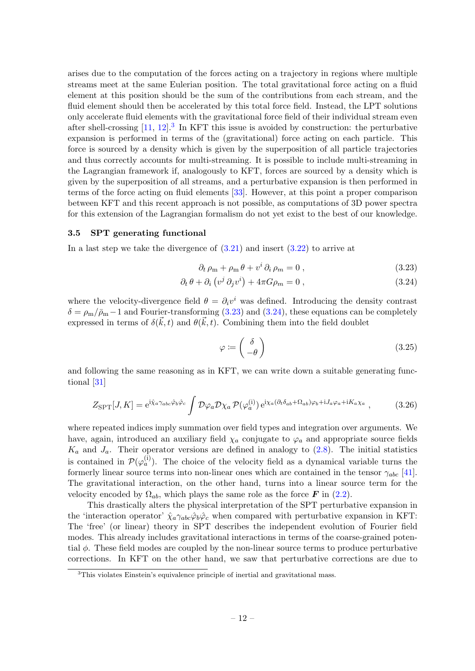arises due to the computation of the forces acting on a trajectory in regions where multiple streams meet at the same Eulerian position. The total gravitational force acting on a fluid element at this position should be the sum of the contributions from each stream, and the fluid element should then be accelerated by this total force field. Instead, the LPT solutions only accelerate fluid elements with the gravitational force field of their individual stream even after shell-crossing  $[11, 12]$  $[11, 12]$ .<sup>[3](#page-12-1)</sup> In KFT this issue is avoided by construction: the perturbative expansion is performed in terms of the (gravitational) force acting on each particle. This force is sourced by a density which is given by the superposition of all particle trajectories and thus correctly accounts for multi-streaming. It is possible to include multi-streaming in the Lagrangian framework if, analogously to KFT, forces are sourced by a density which is given by the superposition of all streams, and a perturbative expansion is then performed in terms of the force acting on fluid elements [\[33\]](#page-31-12). However, at this point a proper comparison between KFT and this recent approach is not possible, as computations of 3D power spectra for this extension of the Lagrangian formalism do not yet exist to the best of our knowledge.

#### <span id="page-12-0"></span>3.5 SPT generating functional

In a last step we take the divergence of  $(3.21)$  and insert  $(3.22)$  to arrive at

$$
\partial_t \rho_m + \rho_m \theta + v^i \partial_i \rho_m = 0 , \qquad (3.23)
$$

$$
\partial_t \theta + \partial_i \left( v^j \partial_j v^i \right) + 4\pi G \rho_m = 0 , \qquad (3.24)
$$

where the velocity-divergence field  $\theta = \partial_i v^i$  was defined. Introducing the density contrast  $\delta = \rho_{\rm m}/\bar{\rho}_{\rm m} - 1$  and Fourier-transforming [\(3.23\)](#page-12-2) and [\(3.24\)](#page-12-3), these equations can be completely expressed in terms of  $\delta(\vec{k},t)$  and  $\theta(\vec{k},t)$ . Combining them into the field doublet

<span id="page-12-4"></span><span id="page-12-3"></span><span id="page-12-2"></span>
$$
\varphi := \begin{pmatrix} \delta \\ -\theta \end{pmatrix} \tag{3.25}
$$

and following the same reasoning as in KFT, we can write down a suitable generating functional [\[31\]](#page-31-3)

<span id="page-12-5"></span>
$$
Z_{\rm SPT}[J,K] = e^{i\hat{\chi}_a \gamma_{abc} \hat{\varphi}_b \hat{\varphi}_c} \int \mathcal{D}\varphi_a \mathcal{D}\chi_a \, \mathcal{P}(\varphi_a^{(i)}) \, e^{i\chi_a (\partial_t \delta_{ab} + \Omega_{ab})\varphi_b + iJ_a \varphi_a + iK_a \chi_a} \,, \tag{3.26}
$$

where repeated indices imply summation over field types and integration over arguments. We have, again, introduced an auxiliary field  $\chi_a$  conjugate to  $\varphi_a$  and appropriate source fields  $K_a$  and  $J_a$ . Their operator versions are defined in analogy to [\(2.8\)](#page-4-3). The initial statistics is contained in  $\mathcal{P}(\varphi_a^{(i)})$ . The choice of the velocity field as a dynamical variable turns the formerly linear source terms into non-linear ones which are contained in the tensor  $\gamma_{abc}$  [\[41\]](#page-32-4). The gravitational interaction, on the other hand, turns into a linear source term for the velocity encoded by  $\Omega_{ab}$ , which plays the same role as the force **F** in [\(2.2\)](#page-4-4).

This drastically alters the physical interpretation of the SPT perturbative expansion in the 'interaction operator'  $\hat{\chi}_a \gamma_{abc} \hat{\varphi}_b \hat{\varphi}_c$  when compared with perturbative expansion in KFT: The 'free' (or linear) theory in SPT describes the independent evolution of Fourier field modes. This already includes gravitational interactions in terms of the coarse-grained potential  $\phi$ . These field modes are coupled by the non-linear source terms to produce perturbative corrections. In KFT on the other hand, we saw that perturbative corrections are due to

<span id="page-12-1"></span> $3$ This violates Einstein's equivalence principle of inertial and gravitational mass.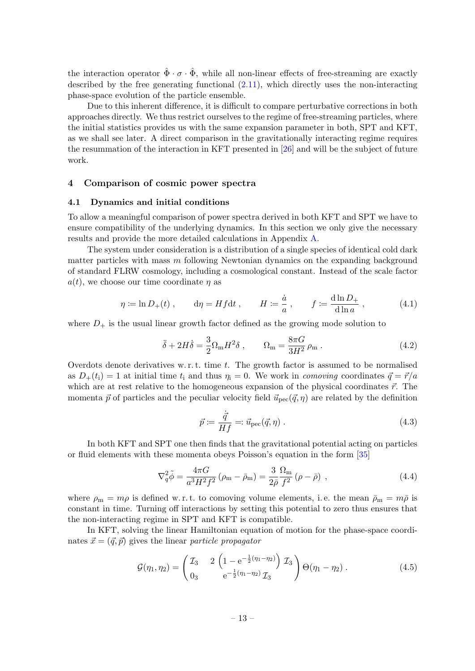the interaction operator  $\hat{\Phi} \cdot \sigma \cdot \hat{\Phi}$ , while all non-linear effects of free-streaming are exactly described by the free generating functional  $(2.11)$ , which directly uses the non-interacting phase-space evolution of the particle ensemble.

Due to this inherent difference, it is difficult to compare perturbative corrections in both approaches directly. We thus restrict ourselves to the regime of free-streaming particles, where the initial statistics provides us with the same expansion parameter in both, SPT and KFT, as we shall see later. A direct comparison in the gravitationally interacting regime requires the resummation of the interaction in KFT presented in [\[26\]](#page-31-13) and will be the subject of future work.

#### <span id="page-13-0"></span>4 Comparison of cosmic power spectra

#### <span id="page-13-1"></span>4.1 Dynamics and initial conditions

To allow a meaningful comparison of power spectra derived in both KFT and SPT we have to ensure compatibility of the underlying dynamics. In this section we only give the necessary results and provide the more detailed calculations in Appendix [A.](#page-24-0)

The system under consideration is a distribution of a single species of identical cold dark matter particles with mass m following Newtonian dynamics on the expanding background of standard FLRW cosmology, including a cosmological constant. Instead of the scale factor  $a(t)$ , we choose our time coordinate  $\eta$  as

<span id="page-13-5"></span>
$$
\eta \coloneqq \ln D_+(t) , \qquad \mathrm{d}\eta = H f \mathrm{d}t , \qquad H \coloneqq \frac{\dot{a}}{a} , \qquad f \coloneqq \frac{\mathrm{d}\ln D_+}{\mathrm{d}\ln a} , \tag{4.1}
$$

where  $D_{+}$  is the usual linear growth factor defined as the growing mode solution to

$$
\ddot{\delta} + 2H\dot{\delta} = \frac{3}{2}\Omega_{\rm m}H^2\delta \,, \qquad \Omega_{\rm m} = \frac{8\pi G}{3H^2}\rho_{\rm m} \,. \tag{4.2}
$$

Overdots denote derivatives w.r.t. time  $t$ . The growth factor is assumed to be normalised as  $D_+(t_i) = 1$  at initial time  $t_i$  and thus  $\eta_i = 0$ . We work in *comoving* coordinates  $\vec{q} = \vec{r}/a$ which are at rest relative to the homogeneous expansion of the physical coordinates  $\vec{r}$ . The momenta  $\vec{p}$  of particles and the peculiar velocity field  $\vec{u}_{\text{pec}}(\vec{q}, \eta)$  are related by the definition

<span id="page-13-2"></span>
$$
\vec{p} \coloneqq \frac{\dot{\vec{q}}}{Hf} = \vec{u}_{\text{pec}}(\vec{q}, \eta) \tag{4.3}
$$

In both KFT and SPT one then finds that the gravitational potential acting on particles or fluid elements with these momenta obeys Poisson's equation in the form [\[35\]](#page-31-14)

<span id="page-13-4"></span>
$$
\nabla_q^2 \tilde{\phi} = \frac{4\pi G}{a^3 H^2 f^2} (\rho_m - \bar{\rho}_m) = \frac{3}{2\bar{\rho}} \frac{\Omega_m}{f^2} (\rho - \bar{\rho}) , \qquad (4.4)
$$

where  $\rho_m = m\rho$  is defined w.r.t. to comoving volume elements, i.e. the mean  $\bar{\rho}_m = m\bar{\rho}$  is constant in time. Turning off interactions by setting this potential to zero thus ensures that the non-interacting regime in SPT and KFT is compatible.

In KFT, solving the linear Hamiltonian equation of motion for the phase-space coordinates  $\vec{x} = (\vec{q}, \vec{p})$  gives the linear particle propagator

<span id="page-13-3"></span>
$$
\mathcal{G}(\eta_1, \eta_2) = \begin{pmatrix} \mathcal{I}_3 & 2 \left( 1 - e^{-\frac{1}{2}(\eta_1 - \eta_2)} \right) \mathcal{I}_3 \\ 0_3 & e^{-\frac{1}{2}(\eta_1 - \eta_2)} \mathcal{I}_3 \end{pmatrix} \Theta(\eta_1 - \eta_2) . \tag{4.5}
$$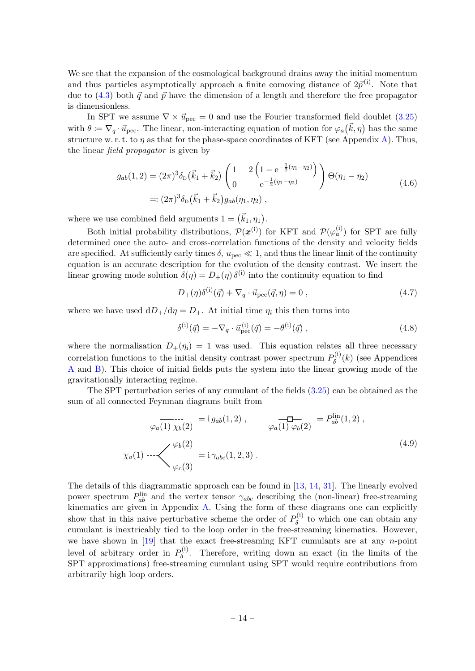We see that the expansion of the cosmological background drains away the initial momentum and thus particles asymptotically approach a finite comoving distance of  $2\vec{p}^{(i)}$ . Note that due to [\(4.3\)](#page-13-2) both  $\vec{q}$  and  $\vec{p}$  have the dimension of a length and therefore the free propagator is dimensionless.

In SPT we assume  $\nabla \times \vec{u}_{\text{pec}} = 0$  and use the Fourier transformed field doublet [\(3.25\)](#page-12-4) with  $\theta = \nabla_q \cdot \vec{u}_{\text{pec}}$ . The linear, non-interacting equation of motion for  $\varphi_a(\vec{k}, \eta)$  has the same structure w. r. t. to  $\eta$  as that for the phase-space coordinates of KFT (see Appendix [A\)](#page-24-0). Thus, the linear field propagator is given by

$$
g_{ab}(1,2) = (2\pi)^3 \delta_{\rm D}(\vec{k}_1 + \vec{k}_2) \begin{pmatrix} 1 & 2\left(1 - e^{-\frac{1}{2}(\eta_1 - \eta_2)}\right) \\ 0 & e^{-\frac{1}{2}(\eta_1 - \eta_2)} \end{pmatrix} \Theta(\eta_1 - \eta_2)
$$
  
=:  $(2\pi)^3 \delta_{\rm D}(\vec{k}_1 + \vec{k}_2) g_{ab}(\eta_1, \eta_2)$ , (4.6)

<span id="page-14-1"></span>where we use combined field arguments  $1 = (\vec{k}_1, \eta_1)$ .

Both initial probability distributions,  $\mathcal{P}(\mathbf{x}^{(i)})$  for KFT and  $\mathcal{P}(\varphi_a^{(i)})$  for SPT are fully determined once the auto- and cross-correlation functions of the density and velocity fields are specified. At sufficiently early times  $\delta$ ,  $u_{\text{pec}} \ll 1$ , and thus the linear limit of the continuity equation is an accurate description for the evolution of the density contrast. We insert the linear growing mode solution  $\delta(\eta) = D_{+}(\eta) \delta^{(i)}$  into the continuity equation to find

$$
D_{+}(\eta)\delta^{(i)}(\vec{q}) + \nabla_{q} \cdot \vec{u}_{\rm pec}(\vec{q}, \eta) = 0 , \qquad (4.7)
$$

where we have used  $dD_+/d\eta = D_+$ . At initial time  $\eta_i$  this then turns into

<span id="page-14-0"></span>
$$
\delta^{(i)}(\vec{q}) = -\nabla_q \cdot \vec{u}_{\text{pec}}^{(i)}(\vec{q}) = -\theta^{(i)}(\vec{q}) \,, \tag{4.8}
$$

where the normalisation  $D_+(\eta_i) = 1$  was used. This equation relates all three necessary correlation functions to the initial density contrast power spectrum  $P_{\delta}^{(i)}$  $\delta^{\left(1\right)}$  (see Appendices [A](#page-24-0) and [B\)](#page-26-0). This choice of initial fields puts the system into the linear growing mode of the gravitationally interacting regime.

The SPT perturbation series of any cumulant of the fields [\(3.25\)](#page-12-4) can be obtained as the sum of all connected Feynman diagrams built from

$$
\varphi_a(1) \chi_b(2) = i g_{ab}(1,2), \qquad \qquad \varphi_a(1) \varphi_b(2) = P_{ab}^{\text{lin}}(1,2),
$$
\n
$$
\chi_a(1) \cdots \left\langle \begin{array}{c} \varphi_b(2) \\ \varphi_c(3) \end{array} \right. = i \gamma_{abc}(1,2,3).
$$
\n(4.9)

<span id="page-14-2"></span>The details of this diagrammatic approach can be found in [\[13,](#page-30-13) [14,](#page-30-1) [31\]](#page-31-3). The linearly evolved power spectrum  $P_{ab}^{\text{lin}}$  and the vertex tensor  $\gamma_{abc}$  describing the (non-linear) free-streaming kinematics are given in Appendix [A.](#page-24-0) Using the form of these diagrams one can explicitly show that in this naive perturbative scheme the order of  $P_{\delta}^{(i)}$  $\delta^{\left(1\right)}$  to which one can obtain any cumulant is inextricably tied to the loop order in the free-streaming kinematics. However, we have shown in  $[19]$  that the exact free-streaming KFT cumulants are at any n-point level of arbitrary order in  $P_{\delta}^{(i)}$  $\delta^{(1)}$ . Therefore, writing down an exact (in the limits of the SPT approximations) free-streaming cumulant using SPT would require contributions from arbitrarily high loop orders.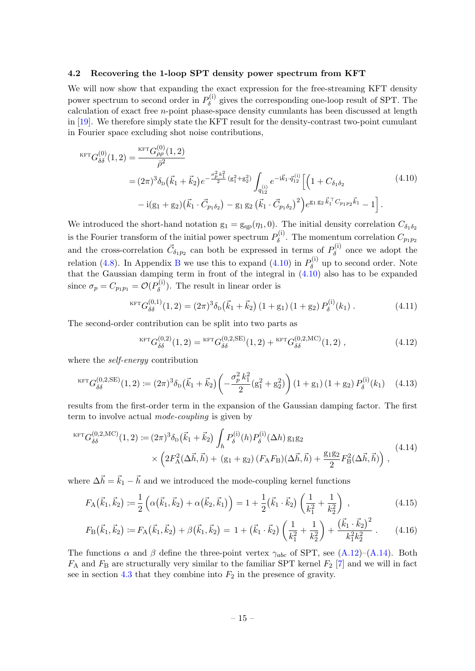#### <span id="page-15-0"></span>4.2 Recovering the 1-loop SPT density power spectrum from KFT

We will now show that expanding the exact expression for the free-streaming KFT density power spectrum to second order in  $P_{\delta}^{(i)}$  $\delta^{(1)}$  gives the corresponding one-loop result of SPT. The calculation of exact free n-point phase-space density cumulants has been discussed at length in [\[19\]](#page-31-8). We therefore simply state the KFT result for the density-contrast two-point cumulant in Fourier space excluding shot noise contributions,

<span id="page-15-1"></span>
$$
\begin{split} {}^{\text{KFT}}G_{\delta\delta}^{(0)}(1,2) &= \frac{{}^{\text{KFT}}G_{\rho\rho}^{(0)}(1,2)}{\bar{\rho}^2} \\ &= (2\pi)^3 \delta_{\text{D}}(\vec{k}_1 + \vec{k}_2) e^{-\frac{\sigma_p^2 k_1^2}{2}} (g_1^2 + g_2^2) \int_{q_{12}^{(1)}} e^{-i\vec{k}_1 \cdot \vec{q}_{12}^{(1)}} \Big[ \Big( 1 + C_{\delta_1 \delta_2} \\ &- i(g_1 + g_2)(\vec{k}_1 \cdot \vec{C}_{p_1 \delta_2}) - g_1 g_2 (\vec{k}_1 \cdot \vec{C}_{p_1 \delta_2})^2 \Big) e^{g_1 g_2 \vec{k}_1 \vec{q}_{12}^{(1)}} - 1 \Big]. \end{split} \tag{4.10}
$$

We introduced the short-hand notation  $g_1 = g_{qp}(\eta_1, 0)$ . The initial density correlation  $C_{\delta_1 \delta_2}$ is the Fourier transform of the initial power spectrum  $P_{\delta}^{(i)}$  $\delta^{(1)}$ . The momentum correlation  $C_{p_1p_2}$ and the cross-correlation  $\vec{C}_{\delta_1 p_2}$  can both be expressed in terms of  $P_{\delta}^{(i)}$  $\delta^{\left(1\right)}$  once we adopt the relation [\(4.8\)](#page-14-0). In Appendix [B](#page-26-0) we use this to expand [\(4.10\)](#page-15-1) in  $P_{\delta}^{(i)}$  $\delta^{(1)}$  up to second order. Note that the Gaussian damping term in front of the integral in [\(4.10\)](#page-15-1) also has to be expanded since  $\sigma_p = C_{p_1p_1} = \mathcal{O}(P_\delta^{(i)})$  $\delta^{(1)}$ . The result in linear order is

<span id="page-15-3"></span>
$$
{}^{\text{KFT}}G_{\delta\delta}^{(0,1)}(1,2) = (2\pi)^3 \delta_{\text{D}}(\vec{k}_1 + \vec{k}_2) (1 + g_1) (1 + g_2) P_{\delta}^{(i)}(k_1) . \tag{4.11}
$$

The second-order contribution can be split into two parts as

<span id="page-15-5"></span>
$$
{}^{\text{KFT}}G_{\delta\delta}^{(0,2)}(1,2) = {}^{\text{KFT}}G_{\delta\delta}^{(0,2,\text{SE})}(1,2) + {}^{\text{KFT}}G_{\delta\delta}^{(0,2,\text{MC})}(1,2) ,
$$
\n(4.12)

where the *self-energy* contribution

<span id="page-15-4"></span>
$$
{}^{KFT}G_{\delta\delta}^{(0,2,SE)}(1,2) := (2\pi)^3 \delta_{\rm D}(\vec{k}_1 + \vec{k}_2) \left( -\frac{\sigma_p^2 k_1^2}{2} (g_1^2 + g_2^2) \right) (1 + g_1) (1 + g_2) P_{\delta}^{(i)}(k_1) \tag{4.13}
$$

results from the first-order term in the expansion of the Gaussian damping factor. The first term to involve actual mode-coupling is given by

<span id="page-15-2"></span>
$$
{}^{KFT}G_{\delta\delta}^{(0,2,\text{MC})}(1,2) := (2\pi)^3 \delta_{\text{D}}(\vec{k}_1 + \vec{k}_2) \int_h P_{\delta}^{(i)}(h) P_{\delta}^{(i)}(\Delta h) g_1 g_2
$$
  
 
$$
\times \left(2F_A^2(\Delta \vec{h}, \vec{h}) + (g_1 + g_2) (F_A F_B)(\Delta \vec{h}, \vec{h}) + \frac{g_1 g_2}{2} F_B^2(\Delta \vec{h}, \vec{h})\right),
$$
(4.14)

where  $\Delta \vec{h} = \vec{k}_1 - \vec{h}$  and we introduced the mode-coupling kernel functions

$$
F_{\mathcal{A}}(\vec{k}_1, \vec{k}_2) \coloneqq \frac{1}{2} \left( \alpha(\vec{k}_1, \vec{k}_2) + \alpha(\vec{k}_2, \vec{k}_1) \right) = 1 + \frac{1}{2} (\vec{k}_1 \cdot \vec{k}_2) \left( \frac{1}{k_1^2} + \frac{1}{k_2^2} \right), \tag{4.15}
$$

<span id="page-15-6"></span>
$$
F_{\rm B}(\vec{k}_1,\vec{k}_2) \coloneqq F_{\rm A}(\vec{k}_1,\vec{k}_2) + \beta(\vec{k}_1,\vec{k}_2) = 1 + (\vec{k}_1 \cdot \vec{k}_2) \left(\frac{1}{k_1^2} + \frac{1}{k_2^2}\right) + \frac{(\vec{k}_1 \cdot \vec{k}_2)^2}{k_1^2 k_2^2} \,. \tag{4.16}
$$

The functions  $\alpha$  and  $\beta$  define the three-point vertex  $\gamma_{abc}$  of SPT, see [\(A.12\)](#page-25-0)–[\(A.14\)](#page-25-1). Both  $F_A$  and  $F_B$  are structurally very similar to the familiar SPT kernel  $F_2$  [\[7\]](#page-30-10) and we will in fact see in section [4.3](#page-17-0) that they combine into  $F_2$  in the presence of gravity.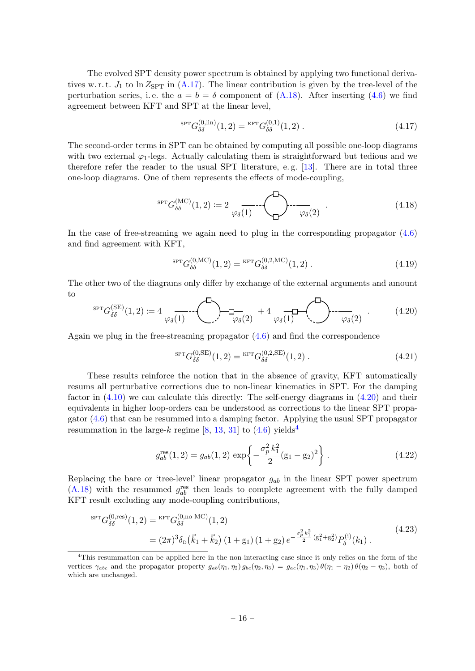The evolved SPT density power spectrum is obtained by applying two functional derivatives w. r. t.  $J_1$  to ln  $Z_{\text{SPT}}$  in [\(A.17\)](#page-26-1). The linear contribution is given by the tree-level of the perturbation series, i.e. the  $a = b = \delta$  component of [\(A.18\)](#page-26-2). After inserting [\(4.6\)](#page-14-1) we find agreement between KFT and SPT at the linear level,

<span id="page-16-6"></span>
$$
{}^{\text{SPT}}G_{\delta\delta}^{(0,\text{lin})}(1,2) = {}^{\text{KFT}}G_{\delta\delta}^{(0,1)}(1,2) . \tag{4.17}
$$

The second-order terms in SPT can be obtained by computing all possible one-loop diagrams with two external  $\varphi_1$ -legs. Actually calculating them is straightforward but tedious and we therefore refer the reader to the usual SPT literature, e. g. [\[13\]](#page-30-13). There are in total three one-loop diagrams. One of them represents the effects of mode-coupling,

<span id="page-16-2"></span>sptG (MC) δδ (1, 2) := 2 ϕδ(1) ϕδ(2) . (4.18)

In the case of free-streaming we again need to plug in the corresponding propagator [\(4.6\)](#page-14-1) and find agreement with KFT,

$$
{}^{\text{SPT}}G_{\delta\delta}^{(0,\text{MC})}(1,2) = {}^{\text{KFT}}G_{\delta\delta}^{(0,2,\text{MC})}(1,2) \tag{4.19}
$$

The other two of the diagrams only differ by exchange of the external arguments and amount to

<span id="page-16-0"></span>
$$
{}^{\text{SPT}}G_{\delta\delta}^{(\text{SE})}(1,2) := 4 \underbrace{\qquad \qquad}_{\varphi_{\delta}(1)} \cdots \underbrace{\qquad \qquad}_{\varphi_{\delta}(2)} + 4 \underbrace{\qquad \qquad}_{\varphi_{\delta}(1)} \cdots \underbrace{\qquad \qquad}_{\varphi_{\delta}(2)} \qquad (4.20)
$$

Again we plug in the free-streaming propagator  $(4.6)$  and find the correspondence

<span id="page-16-4"></span>
$$
{}^{\text{SPT}}G_{\delta\delta}^{(0,\text{SE})}(1,2) = {}^{\text{KFT}}G_{\delta\delta}^{(0,2,\text{SE})}(1,2) \tag{4.21}
$$

These results reinforce the notion that in the absence of gravity, KFT automatically resums all perturbative corrections due to non-linear kinematics in SPT. For the damping factor in  $(4.10)$  we can calculate this directly: The self-energy diagrams in  $(4.20)$  and their equivalents in higher loop-orders can be understood as corrections to the linear SPT propagator [\(4.6\)](#page-14-1) that can be resummed into a damping factor. Applying the usual SPT propagator resummation in the large-k regime  $[8, 13, 31]$  $[8, 13, 31]$  $[8, 13, 31]$  $[8, 13, 31]$  to  $(4.6)$  $(4.6)$  $(4.6)$  yields<sup>4</sup>

<span id="page-16-3"></span>
$$
g_{ab}^{\text{res}}(1,2) = g_{ab}(1,2) \exp\left\{-\frac{\sigma_p^2 k_1^2}{2} (g_1 - g_2)^2\right\}.
$$
 (4.22)

Replacing the bare or 'tree-level' linear propagator  $g_{ab}$  in the linear SPT power spectrum [\(A.18\)](#page-26-2) with the resummed  $g_{ab}^{\text{res}}$  then leads to complete agreement with the fully damped KFT result excluding any mode-coupling contributions,

<span id="page-16-5"></span>
$$
{}^{\text{SPT}}G_{\delta\delta}^{(0,\text{res})}(1,2) = {}^{\text{KFT}}G_{\delta\delta}^{(0,\text{no MC})}(1,2)
$$
  
=  $(2\pi)^3 \delta_{\text{D}}(\vec{k}_1 + \vec{k}_2) (1 + g_1) (1 + g_2) e^{-\frac{\sigma_p^2 k_1^2}{2} (g_1^2 + g_2^2)} P_{\delta}^{(i)}(k_1).$  (4.23)

<span id="page-16-1"></span><sup>4</sup>This resummation can be applied here in the non-interacting case since it only relies on the form of the vertices  $\gamma_{abc}$  and the propagator property  $g_{ab}(\eta_1, \eta_2) g_{bc}(\eta_2, \eta_3) = g_{ac}(\eta_1, \eta_3) \theta(\eta_1 - \eta_2) \theta(\eta_2 - \eta_3)$ , both of which are unchanged.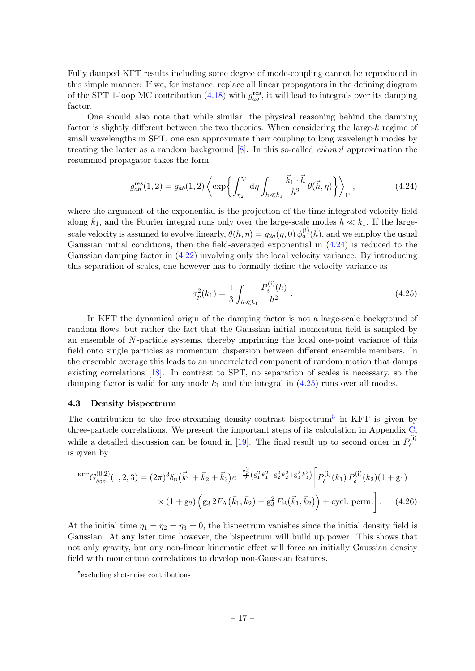Fully damped KFT results including some degree of mode-coupling cannot be reproduced in this simple manner: If we, for instance, replace all linear propagators in the defining diagram of the SPT 1-loop MC contribution  $(4.18)$  with  $g_{ab}^{\text{res}}$ , it will lead to integrals over its damping factor.

One should also note that while similar, the physical reasoning behind the damping factor is slightly different between the two theories. When considering the large-k regime of small wavelengths in SPT, one can approximate their coupling to long wavelength modes by treating the latter as a random background  $[8]$ . In this so-called *eikonal* approximation the resummed propagator takes the form

<span id="page-17-1"></span>
$$
g_{ab}^{\text{res}}(1,2) = g_{ab}(1,2) \left\langle \exp\left\{ \int_{\eta_2}^{\eta_1} \mathrm{d}\eta \int_{h \ll k_1} \frac{\vec{k}_1 \cdot \vec{h}}{h^2} \theta(\vec{h}, \eta) \right\} \right\rangle_{\text{F}},\tag{4.24}
$$

where the argument of the exponential is the projection of the time-integrated velocity field along  $\vec{k}_1$ , and the Fourier integral runs only over the large-scale modes  $h \ll k_1$ . If the largescale velocity is assumed to evolve linearly,  $\theta(\vec{h},\eta)=g_{2a}(\eta,0)\,\phi_a^{(i)}(\vec{h}),$  and we employ the usual Gaussian initial conditions, then the field-averaged exponential in [\(4.24\)](#page-17-1) is reduced to the Gaussian damping factor in [\(4.22\)](#page-16-3) involving only the local velocity variance. By introducing this separation of scales, one however has to formally define the velocity variance as

<span id="page-17-4"></span><span id="page-17-2"></span>
$$
\sigma_p^2(k_1) = \frac{1}{3} \int_{h \ll k_1} \frac{P_\delta^{(i)}(h)}{h^2} \,. \tag{4.25}
$$

In KFT the dynamical origin of the damping factor is not a large-scale background of random flows, but rather the fact that the Gaussian initial momentum field is sampled by an ensemble of N-particle systems, thereby imprinting the local one-point variance of this field onto single particles as momentum dispersion between different ensemble members. In the ensemble average this leads to an uncorrelated component of random motion that damps existing correlations [\[18\]](#page-31-15). In contrast to SPT, no separation of scales is necessary, so the damping factor is valid for any mode  $k_1$  and the integral in  $(4.25)$  runs over all modes.

#### <span id="page-17-0"></span>4.3 Density bispectrum

The contribution to the free-streaming density-contrast bispectrum<sup>[5](#page-17-3)</sup> in KFT is given by three-particle correlations. We present the important steps of its calculation in Appendix  $C$ , while a detailed discussion can be found in [\[19\]](#page-31-8). The final result up to second order in  $P_{\delta}^{(i)}$ δ is given by

$$
KFTG_{\delta\delta\delta}^{(0,2)}(1,2,3) = (2\pi)^3 \delta_{D}(\vec{k}_{1} + \vec{k}_{2} + \vec{k}_{3}) e^{-\frac{\sigma_{p}^{2}}{2} (g_{1}^{2} k_{1}^{2} + g_{2}^{2} k_{2}^{2} + g_{3}^{2} k_{3}^{2})} \left[ P_{\delta}^{(i)}(k_{1}) P_{\delta}^{(i)}(k_{2}) (1 + g_{1}) \times (1 + g_{2}) \left( g_{3} 2F_{A}(\vec{k}_{1}, \vec{k}_{2}) + g_{3}^{2} F_{B}(\vec{k}_{1}, \vec{k}_{2}) \right) + \text{cycl. perm.} \right]. \quad (4.26)
$$

At the initial time  $\eta_1 = \eta_2 = \eta_3 = 0$ , the bispectrum vanishes since the initial density field is Gaussian. At any later time however, the bispectrum will build up power. This shows that not only gravity, but any non-linear kinematic effect will force an initially Gaussian density field with momentum correlations to develop non-Gaussian features.

<span id="page-17-3"></span><sup>5</sup> excluding shot-noise contributions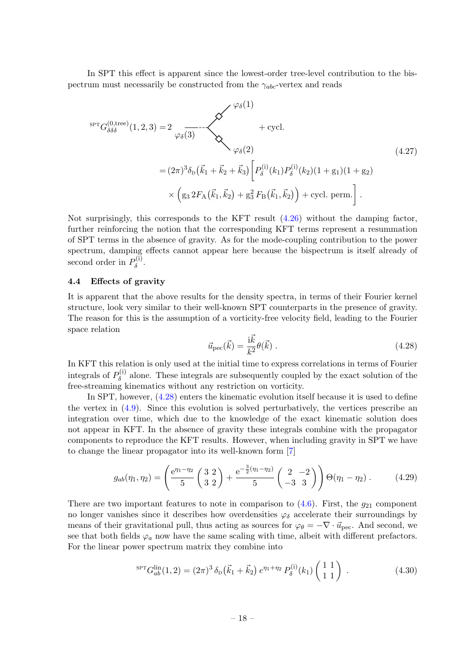In SPT this effect is apparent since the lowest-order tree-level contribution to the bispectrum must necessarily be constructed from the  $\gamma_{abc}$ -vertex and reads

<span id="page-18-3"></span>
$$
{}^{\text{SPT}}G_{\delta\delta\delta}^{(0,\text{tree})}(1,2,3) = 2 \underbrace{\varphi_{\delta}(3)} \times \underbrace{\varphi_{\delta}(1)} + \text{cycl.}
$$
\n
$$
= (2\pi)^{3}\delta_{\text{D}}(\vec{k}_{1} + \vec{k}_{2} + \vec{k}_{3}) \left[ P_{\delta}^{(i)}(k_{1})P_{\delta}^{(i)}(k_{2})(1 + g_{1})(1 + g_{2}) \times \left( g_{3} 2F_{\text{A}}(\vec{k}_{1}, \vec{k}_{2}) + g_{3}^{2}F_{\text{B}}(\vec{k}_{1}, \vec{k}_{2}) \right) + \text{cycl. perm.} \right].
$$
\n(4.27)

Not surprisingly, this corresponds to the KFT result [\(4.26\)](#page-17-4) without the damping factor, further reinforcing the notion that the corresponding KFT terms represent a resummation of SPT terms in the absence of gravity. As for the mode-coupling contribution to the power spectrum, damping effects cannot appear here because the bispectrum is itself already of second order in  $P_{\delta}^{(i)}$  $\delta^{(1)}$ .

#### <span id="page-18-0"></span>4.4 Effects of gravity

It is apparent that the above results for the density spectra, in terms of their Fourier kernel structure, look very similar to their well-known SPT counterparts in the presence of gravity. The reason for this is the assumption of a vorticity-free velocity field, leading to the Fourier space relation

<span id="page-18-1"></span>
$$
\vec{u}_{\rm pec}(\vec{k}) = \frac{\mathrm{i}\vec{k}}{k^2} \theta(\vec{k}) \,. \tag{4.28}
$$

In KFT this relation is only used at the initial time to express correlations in terms of Fourier integrals of  $P_{\delta}^{(i)}$  $\delta^{(1)}$  alone. These integrals are subsequently coupled by the exact solution of the free-streaming kinematics without any restriction on vorticity.

In SPT, however, [\(4.28\)](#page-18-1) enters the kinematic evolution itself because it is used to define the vertex in  $(4.9)$ . Since this evolution is solved perturbatively, the vertices prescribe an integration over time, which due to the knowledge of the exact kinematic solution does not appear in KFT. In the absence of gravity these integrals combine with the propagator components to reproduce the KFT results. However, when including gravity in SPT we have to change the linear propagator into its well-known form [\[7\]](#page-30-10)

<span id="page-18-4"></span>
$$
g_{ab}(\eta_1, \eta_2) = \left(\frac{e^{\eta_1 - \eta_2}}{5} \left(\frac{3}{3} \frac{2}{2}\right) + \frac{e^{-\frac{3}{2}(\eta_1 - \eta_2)}}{5} \left(\frac{2}{-3} \frac{-2}{3}\right)\right) \Theta(\eta_1 - \eta_2).
$$
 (4.29)

There are two important features to note in comparison to  $(4.6)$ . First, the  $g_{21}$  component no longer vanishes since it describes how overdensities  $\varphi_{\delta}$  accelerate their surroundings by means of their gravitational pull, thus acting as sources for  $\varphi_{\theta} = -\nabla \cdot \vec{u}_{\text{pec}}$ . And second, we see that both fields  $\varphi_a$  now have the same scaling with time, albeit with different prefactors. For the linear power spectrum matrix they combine into

<span id="page-18-2"></span>
$$
{}^{\text{SPT}}G_{ab}^{\text{lin}}(1,2) = (2\pi)^3 \,\delta_{\text{D}}\left(\vec{k}_1 + \vec{k}_2\right) e^{\eta_1 + \eta_2} \, P_\delta^{(i)}(k_1) \begin{pmatrix} 1 & 1\\ 1 & 1 \end{pmatrix} \,. \tag{4.30}
$$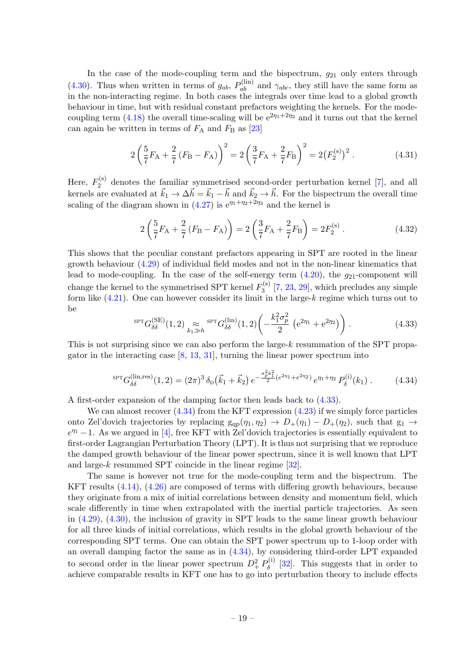In the case of the mode-coupling term and the bispectrum,  $g_{21}$  only enters through [\(4.30\)](#page-18-2). Thus when written in terms of  $g_{ab}$ ,  $P_{ab}^{(lin)}$  and  $\gamma_{abc}$ , they still have the same form as in the non-interacting regime. In both cases the integrals over time lead to a global growth behaviour in time, but with residual constant prefactors weighting the kernels. For the mode-coupling term [\(4.18\)](#page-16-2) the overall time-scaling will be  $e^{2\eta_1+2\eta_2}$  and it turns out that the kernel can again be written in terms of  $F_A$  and  $F_B$  as [\[23\]](#page-31-16)

$$
2\left(\frac{5}{7}F_{A} + \frac{2}{7}(F_{B} - F_{A})\right)^{2} = 2\left(\frac{3}{7}F_{A} + \frac{2}{7}F_{B}\right)^{2} = 2(F_{2}^{(s)})^{2}.
$$
 (4.31)

Here,  $F_2^{(s)}$  $\frac{2}{2}$  denotes the familiar symmetrised second-order perturbation kernel [\[7\]](#page-30-10), and all kernels are evaluated at  $\vec{k}_1 \to \Delta \vec{h} = \vec{k}_1 - \vec{h}$  and  $\vec{k}_2 \to \vec{h}$ . For the bispectrum the overall time scaling of the diagram shown in [\(4.27\)](#page-18-3) is  $e^{\eta_1 + \eta_2 + 2\eta_3}$  and the kernel is

$$
2\left(\frac{5}{7}F_{A} + \frac{2}{7}(F_{B} - F_{A})\right) = 2\left(\frac{3}{7}F_{A} + \frac{2}{7}F_{B}\right) = 2F_{2}^{(s)}.
$$
 (4.32)

This shows that the peculiar constant prefactors appearing in SPT are rooted in the linear growth behaviour [\(4.29\)](#page-18-4) of individual field modes and not in the non-linear kinematics that lead to mode-coupling. In the case of the self-energy term  $(4.20)$ , the  $g_{21}$ -component will change the kernel to the symmetrised SPT kernel  $F_3^{(s)}$  $\binom{5}{3}$  [\[7,](#page-30-10) [23,](#page-31-16) [29\]](#page-31-17), which precludes any simple form like  $(4.21)$ . One can however consider its limit in the large-k regime which turns out to be

<span id="page-19-0"></span>
$$
{}^{\text{SPT}}G_{\delta\delta}^{(\text{SE})}(1,2) \underset{k_1 \gg h}{\approx} {}^{\text{SPT}}G_{\delta\delta}^{(\text{lin})}(1,2) \left( -\frac{k_1^2 \sigma_p^2}{2} \left( e^{2\eta_1} + e^{2\eta_2} \right) \right). \tag{4.33}
$$

This is not surprising since we can also perform the large-k resummation of the SPT propagator in the interacting case [\[8,](#page-30-14) [13,](#page-30-13) [31\]](#page-31-3), turning the linear power spectrum into

<span id="page-19-1"></span>
$$
{}^{\text{SPT}}G_{\delta\delta}^{(\text{lin,res})}(1,2) = (2\pi)^3 \,\delta_{\text{D}}\left(\vec{k}_1 + \vec{k}_2\right) e^{-\frac{\sigma_p^2 k_1^2}{2}(e^{2\eta_1} + e^{2\eta_2})} \,e^{\eta_1 + \eta_2} \,P_\delta^{(\text{i})}(k_1) \,. \tag{4.34}
$$

A first-order expansion of the damping factor then leads back to [\(4.33\)](#page-19-0).

We can almost recover  $(4.34)$  from the KFT expression  $(4.23)$  if we simply force particles onto Zel'dovich trajectories by replacing  $g_{qp}(\eta_1, \eta_2) \rightarrow D_+(\eta_1) - D_+(\eta_2)$ , such that  $g_1 \rightarrow$  $e^{\eta_1}-1$ . As we argued in [\[4\]](#page-30-2), free KFT with Zel'dovich trajectories is essentially equivalent to first-order Lagrangian Perturbation Theory (LPT). It is thus not surprising that we reproduce the damped growth behaviour of the linear power spectrum, since it is well known that LPT and large-k resummed SPT coincide in the linear regime [\[32\]](#page-31-18).

The same is however not true for the mode-coupling term and the bispectrum. The KFT results [\(4.14\)](#page-15-2), [\(4.26\)](#page-17-4) are composed of terms with differing growth behaviours, because they originate from a mix of initial correlations between density and momentum field, which scale differently in time when extrapolated with the inertial particle trajectories. As seen in [\(4.29\)](#page-18-4), [\(4.30\)](#page-18-2), the inclusion of gravity in SPT leads to the same linear growth behaviour for all three kinds of initial correlations, which results in the global growth behaviour of the corresponding SPT terms. One can obtain the SPT power spectrum up to 1-loop order with an overall damping factor the same as in [\(4.34\)](#page-19-1), by considering third-order LPT expanded to second order in the linear power spectrum  $D^2_+ P^{(i)}_\delta$  $\delta^{(1)}$  [\[32\]](#page-31-18). This suggests that in order to achieve comparable results in KFT one has to go into perturbation theory to include effects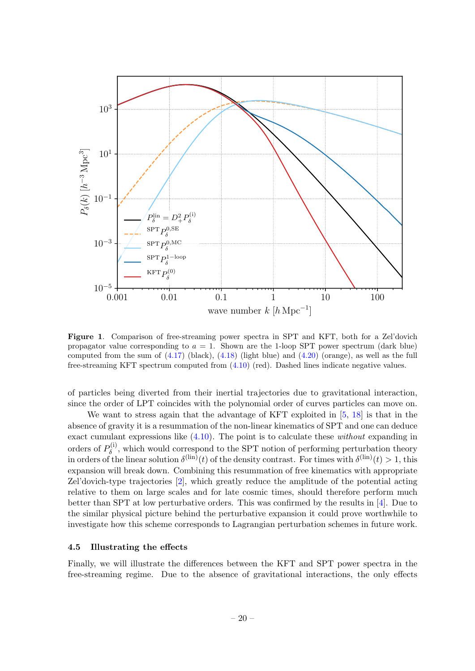

<span id="page-20-1"></span>Figure 1. Comparison of free-streaming power spectra in SPT and KFT, both for a Zel'dovich propagator value corresponding to  $a = 1$ . Shown are the 1-loop SPT power spectrum (dark blue) computed from the sum of  $(4.17)$  (black),  $(4.18)$  (light blue) and  $(4.20)$  (orange), as well as the full free-streaming KFT spectrum computed from [\(4.10\)](#page-15-1) (red). Dashed lines indicate negative values.

of particles being diverted from their inertial trajectories due to gravitational interaction, since the order of LPT coincides with the polynomial order of curves particles can move on.

We want to stress again that the advantage of KFT exploited in [\[5,](#page-30-7) [18\]](#page-31-15) is that in the absence of gravity it is a resummation of the non-linear kinematics of SPT and one can deduce exact cumulant expressions like [\(4.10\)](#page-15-1). The point is to calculate these without expanding in orders of  $P_{\delta}^{(i)}$  $\delta^{(1)}$ , which would correspond to the SPT notion of performing perturbation theory in orders of the linear solution  $\delta^{(\text{lin})}(t)$  of the density contrast. For times with  $\delta^{(\text{lin})}(t) > 1$ , this expansion will break down. Combining this resummation of free kinematics with appropriate Zel'dovich-type trajectories [\[2\]](#page-30-6), which greatly reduce the amplitude of the potential acting relative to them on large scales and for late cosmic times, should therefore perform much better than SPT at low perturbative orders. This was confirmed by the results in [\[4\]](#page-30-2). Due to the similar physical picture behind the perturbative expansion it could prove worthwhile to investigate how this scheme corresponds to Lagrangian perturbation schemes in future work.

#### <span id="page-20-0"></span>4.5 Illustrating the effects

Finally, we will illustrate the differences between the KFT and SPT power spectra in the free-streaming regime. Due to the absence of gravitational interactions, the only effects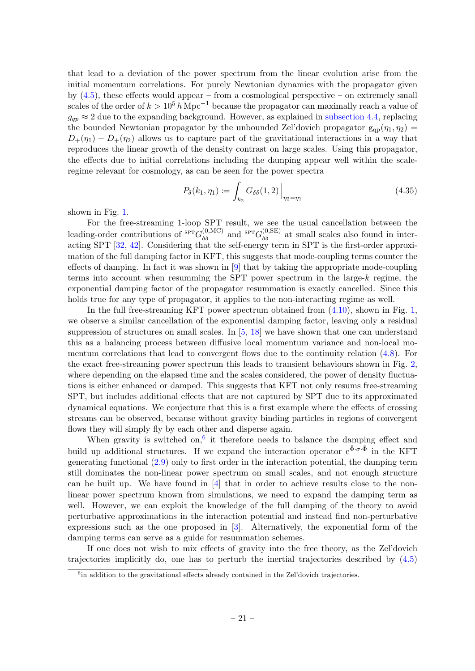that lead to a deviation of the power spectrum from the linear evolution arise from the initial momentum correlations. For purely Newtonian dynamics with the propagator given by  $(4.5)$ , these effects would appear – from a cosmological perspective – on extremely small scales of the order of  $k > 10^5 h \text{ Mpc}^{-1}$  because the propagator can maximally reach a value of  $g_{qp} \approx 2$  due to the expanding background. However, as explained in [subsection 4.4,](#page-18-0) replacing the bounded Newtonian propagator by the unbounded Zel'dovich propagator  $g_{qp}(\eta_1, \eta_2)$  $D_+(\eta_1) - D_+(\eta_2)$  allows us to capture part of the gravitational interactions in a way that reproduces the linear growth of the density contrast on large scales. Using this propagator, the effects due to initial correlations including the damping appear well within the scaleregime relevant for cosmology, as can be seen for the power spectra

$$
P_{\delta}(k_1, \eta_1) := \int_{k_2} G_{\delta\delta}(1, 2) \Big|_{\eta_2 = \eta_1} \tag{4.35}
$$

shown in Fig. [1.](#page-20-1)

For the free-streaming 1-loop SPT result, we see the usual cancellation between the leading-order contributions of  ${}^{SPT}G_{\delta\delta}^{(0,MC)}$  and  ${}^{SPT}G_{\delta\delta}^{(0,SE)}$  at small scales also found in interacting SPT [\[32,](#page-31-18) [42\]](#page-32-5). Considering that the self-energy term in SPT is the first-order approximation of the full damping factor in KFT, this suggests that mode-coupling terms counter the effects of damping. In fact it was shown in [\[9\]](#page-30-15) that by taking the appropriate mode-coupling terms into account when resumming the SPT power spectrum in the large-k regime, the exponential damping factor of the propagator resummation is exactly cancelled. Since this holds true for any type of propagator, it applies to the non-interacting regime as well.

In the full free-streaming KFT power spectrum obtained from [\(4.10\)](#page-15-1), shown in Fig. [1,](#page-20-1) we observe a similar cancellation of the exponential damping factor, leaving only a residual suppression of structures on small scales. In [\[5,](#page-30-7) [18\]](#page-31-15) we have shown that one can understand this as a balancing process between diffusive local momentum variance and non-local momentum correlations that lead to convergent flows due to the continuity relation [\(4.8\)](#page-14-0). For the exact free-streaming power spectrum this leads to transient behaviours shown in Fig. [2,](#page-22-1) where depending on the elapsed time and the scales considered, the power of density fluctuations is either enhanced or damped. This suggests that KFT not only resums free-streaming SPT, but includes additional effects that are not captured by SPT due to its approximated dynamical equations. We conjecture that this is a first example where the effects of crossing streams can be observed, because without gravity binding particles in regions of convergent flows they will simply fly by each other and disperse again.

When gravity is switched on,  $6$  it therefore needs to balance the damping effect and build up additional structures. If we expand the interaction operator  $e^{\hat{\Phi}\cdot\sigma\cdot\hat{\Phi}}$  in the KFT generating functional [\(2.9\)](#page-5-2) only to first order in the interaction potential, the damping term still dominates the non-linear power spectrum on small scales, and not enough structure can be built up. We have found in [\[4\]](#page-30-2) that in order to achieve results close to the nonlinear power spectrum known from simulations, we need to expand the damping term as well. However, we can exploit the knowledge of the full damping of the theory to avoid perturbative approximations in the interaction potential and instead find non-perturbative expressions such as the one proposed in [\[3\]](#page-30-8). Alternatively, the exponential form of the damping terms can serve as a guide for resummation schemes.

If one does not wish to mix effects of gravity into the free theory, as the Zel'dovich trajectories implicitly do, one has to perturb the inertial trajectories described by [\(4.5\)](#page-13-3)

<span id="page-21-0"></span><sup>&</sup>lt;sup>6</sup>in addition to the gravitational effects already contained in the Zel'dovich trajectories.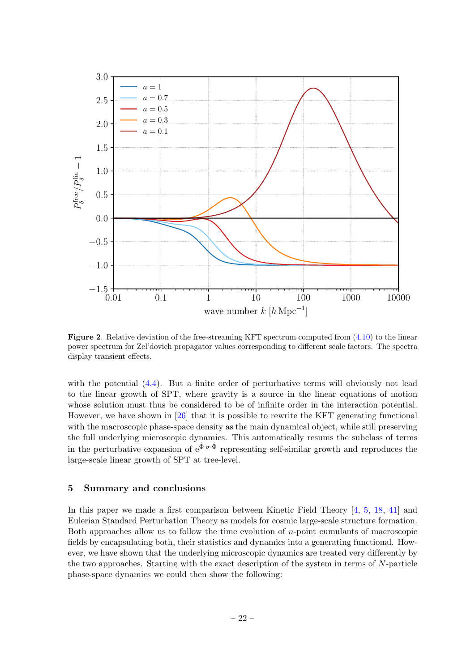

<span id="page-22-1"></span>Figure 2. Relative deviation of the free-streaming KFT spectrum computed from [\(4.10\)](#page-15-1) to the linear power spectrum for Zel'dovich propagator values corresponding to different scale factors. The spectra display transient effects.

with the potential  $(4.4)$ . But a finite order of perturbative terms will obviously not lead to the linear growth of SPT, where gravity is a source in the linear equations of motion whose solution must thus be considered to be of infinite order in the interaction potential. However, we have shown in  $[26]$  that it is possible to rewrite the KFT generating functional with the macroscopic phase-space density as the main dynamical object, while still preserving the full underlying microscopic dynamics. This automatically resums the subclass of terms in the perturbative expansion of  $e^{\hat{\Phi}\cdot\sigma\cdot\hat{\Phi}}$  representing self-similar growth and reproduces the large-scale linear growth of SPT at tree-level.

#### <span id="page-22-0"></span>5 Summary and conclusions

In this paper we made a first comparison between Kinetic Field Theory [\[4,](#page-30-2) [5,](#page-30-7) [18,](#page-31-15) [41\]](#page-32-4) and Eulerian Standard Perturbation Theory as models for cosmic large-scale structure formation. Both approaches allow us to follow the time evolution of n-point cumulants of macroscopic fields by encapsulating both, their statistics and dynamics into a generating functional. However, we have shown that the underlying microscopic dynamics are treated very differently by the two approaches. Starting with the exact description of the system in terms of N-particle phase-space dynamics we could then show the following: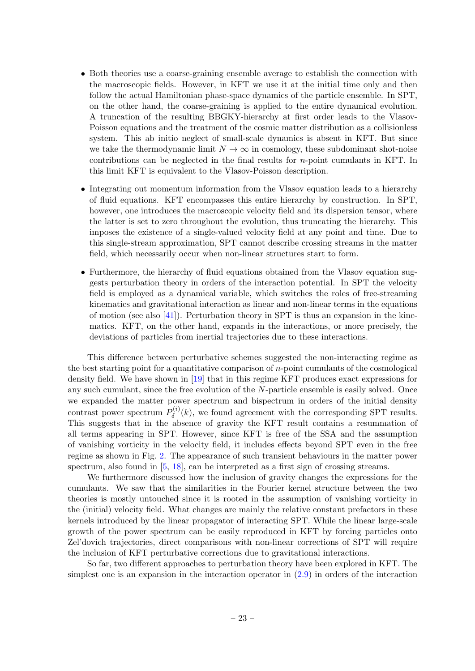- Both theories use a coarse-graining ensemble average to establish the connection with the macroscopic fields. However, in KFT we use it at the initial time only and then follow the actual Hamiltonian phase-space dynamics of the particle ensemble. In SPT, on the other hand, the coarse-graining is applied to the entire dynamical evolution. A truncation of the resulting BBGKY-hierarchy at first order leads to the Vlasov-Poisson equations and the treatment of the cosmic matter distribution as a collisionless system. This ab initio neglect of small-scale dynamics is absent in KFT. But since we take the thermodynamic limit  $N \to \infty$  in cosmology, these subdominant shot-noise contributions can be neglected in the final results for n-point cumulants in KFT. In this limit KFT is equivalent to the Vlasov-Poisson description.
- Integrating out momentum information from the Vlasov equation leads to a hierarchy of fluid equations. KFT encompasses this entire hierarchy by construction. In SPT, however, one introduces the macroscopic velocity field and its dispersion tensor, where the latter is set to zero throughout the evolution, thus truncating the hierarchy. This imposes the existence of a single-valued velocity field at any point and time. Due to this single-stream approximation, SPT cannot describe crossing streams in the matter field, which necessarily occur when non-linear structures start to form.
- Furthermore, the hierarchy of fluid equations obtained from the Vlasov equation suggests perturbation theory in orders of the interaction potential. In SPT the velocity field is employed as a dynamical variable, which switches the roles of free-streaming kinematics and gravitational interaction as linear and non-linear terms in the equations of motion (see also  $[41]$ ). Perturbation theory in SPT is thus an expansion in the kinematics. KFT, on the other hand, expands in the interactions, or more precisely, the deviations of particles from inertial trajectories due to these interactions.

This difference between perturbative schemes suggested the non-interacting regime as the best starting point for a quantitative comparison of  $n$ -point cumulants of the cosmological density field. We have shown in [\[19\]](#page-31-8) that in this regime KFT produces exact expressions for any such cumulant, since the free evolution of the N-particle ensemble is easily solved. Once we expanded the matter power spectrum and bispectrum in orders of the initial density contrast power spectrum  $P_{\delta}^{(i)}$  $\delta^{(i)}(k)$ , we found agreement with the corresponding SPT results. This suggests that in the absence of gravity the KFT result contains a resummation of all terms appearing in SPT. However, since KFT is free of the SSA and the assumption of vanishing vorticity in the velocity field, it includes effects beyond SPT even in the free regime as shown in Fig. [2.](#page-22-1) The appearance of such transient behaviours in the matter power spectrum, also found in [\[5,](#page-30-7) [18\]](#page-31-15), can be interpreted as a first sign of crossing streams.

We furthermore discussed how the inclusion of gravity changes the expressions for the cumulants. We saw that the similarities in the Fourier kernel structure between the two theories is mostly untouched since it is rooted in the assumption of vanishing vorticity in the (initial) velocity field. What changes are mainly the relative constant prefactors in these kernels introduced by the linear propagator of interacting SPT. While the linear large-scale growth of the power spectrum can be easily reproduced in KFT by forcing particles onto Zel'dovich trajectories, direct comparisons with non-linear corrections of SPT will require the inclusion of KFT perturbative corrections due to gravitational interactions.

So far, two different approaches to perturbation theory have been explored in KFT. The simplest one is an expansion in the interaction operator in [\(2.9\)](#page-5-2) in orders of the interaction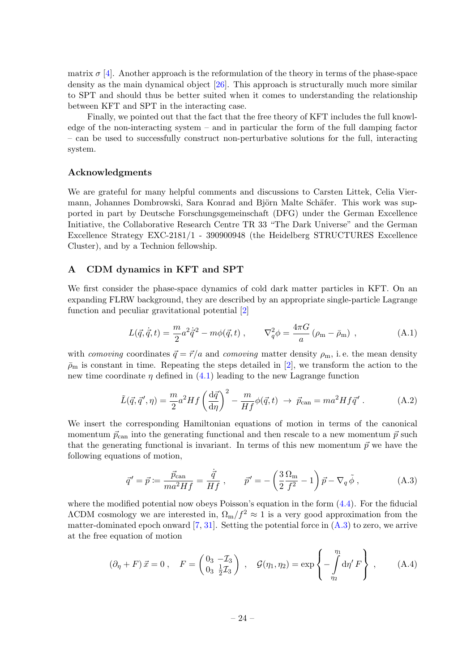matrix  $\sigma$  [\[4\]](#page-30-2). Another approach is the reformulation of the theory in terms of the phase-space density as the main dynamical object [\[26\]](#page-31-13). This approach is structurally much more similar to SPT and should thus be better suited when it comes to understanding the relationship between KFT and SPT in the interacting case.

Finally, we pointed out that the fact that the free theory of KFT includes the full knowledge of the non-interacting system – and in particular the form of the full damping factor – can be used to successfully construct non-perturbative solutions for the full, interacting system.

#### Acknowledgments

We are grateful for many helpful comments and discussions to Carsten Littek, Celia Viermann, Johannes Dombrowski, Sara Konrad and Björn Malte Schäfer. This work was supported in part by Deutsche Forschungsgemeinschaft (DFG) under the German Excellence Initiative, the Collaborative Research Centre TR 33 "The Dark Universe" and the German Excellence Strategy EXC-2181/1 - 390900948 (the Heidelberg STRUCTURES Excellence Cluster), and by a Technion fellowship.

#### <span id="page-24-0"></span>A CDM dynamics in KFT and SPT

We first consider the phase-space dynamics of cold dark matter particles in KFT. On an expanding FLRW background, they are described by an appropriate single-particle Lagrange function and peculiar gravitational potential [\[2\]](#page-30-6)

$$
L(\vec{q}, \dot{\vec{q}}, t) = \frac{m}{2} a^2 \dot{\vec{q}}^2 - m\phi(\vec{q}, t) , \qquad \nabla_q^2 \phi = \frac{4\pi G}{a} (\rho_m - \bar{\rho}_m) , \qquad (A.1)
$$

with comoving coordinates  $\vec{q} = \vec{r}/a$  and comoving matter density  $\rho_m$ , i.e. the mean density  $\bar{\rho}_{\rm m}$  is constant in time. Repeating the steps detailed in [\[2\]](#page-30-6), we transform the action to the new time coordinate  $\eta$  defined in [\(4.1\)](#page-13-5) leading to the new Lagrange function

$$
\tilde{L}(\vec{q}, \vec{q}', \eta) = \frac{m}{2} a^2 H f \left(\frac{\mathrm{d}\vec{q}}{\mathrm{d}\eta}\right)^2 - \frac{m}{H f} \phi(\vec{q}, t) \to \vec{p}_{\text{can}} = m a^2 H f \vec{q}' . \tag{A.2}
$$

We insert the corresponding Hamiltonian equations of motion in terms of the canonical momentum  $\vec{p}_{\text{can}}$  into the generating functional and then rescale to a new momentum  $\vec{p}$  such that the generating functional is invariant. In terms of this new momentum  $\vec{p}$  we have the following equations of motion,

<span id="page-24-1"></span>
$$
\vec{q}' = \vec{p} \coloneqq \frac{\vec{p}_{\text{can}}}{ma^2 H f} = \frac{\dot{\vec{q}}}{H f} , \qquad \vec{p}' = -\left(\frac{3}{2} \frac{\Omega_{\text{m}}}{f^2} - 1\right) \vec{p} - \nabla_q \tilde{\phi} , \qquad (A.3)
$$

where the modified potential now obeys Poisson's equation in the form  $(4.4)$ . For the fiducial  $\Lambda$ CDM cosmology we are interested in,  $\Omega_{\rm m}/f^2 \approx 1$  is a very good approximation from the matter-dominated epoch onward  $[7, 31]$  $[7, 31]$ . Setting the potential force in  $(A.3)$  to zero, we arrive at the free equation of motion

<span id="page-24-2"></span>
$$
(\partial_{\eta} + F) \vec{x} = 0 , \quad F = \begin{pmatrix} 0_3 & -\mathcal{I}_3 \\ 0_3 & \frac{1}{2}\mathcal{I}_3 \end{pmatrix} , \quad \mathcal{G}(\eta_1, \eta_2) = \exp \left\{ -\int_{\eta_2}^{\eta_1} d\eta' F \right\} , \quad (A.4)
$$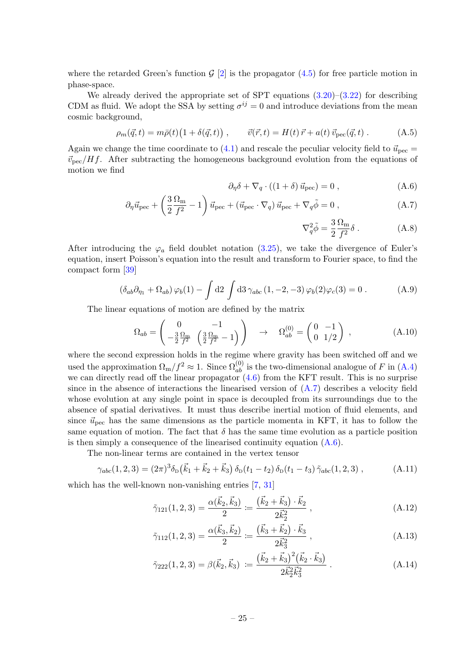where the retarded Green's function  $G$  [\[2\]](#page-30-6) is the propagator [\(4.5\)](#page-13-3) for free particle motion in phase-space.

We already derived the appropriate set of SPT equations  $(3.20)$ – $(3.22)$  for describing CDM as fluid. We adopt the SSA by setting  $\sigma^{ij} = 0$  and introduce deviations from the mean cosmic background,

$$
\rho_m(\vec{q},t) = m\bar{\rho}(t)\big(1 + \delta(\vec{q},t)\big) , \qquad \vec{v}(\vec{r},t) = H(t)\,\vec{r} + a(t)\,\vec{v}_{\text{pec}}(\vec{q},t) . \tag{A.5}
$$

Again we change the time coordinate to [\(4.1\)](#page-13-5) and rescale the peculiar velocity field to  $\vec{u}_{\text{pec}} =$  $\vec{v}_{\text{pec}}/Hf$ . After subtracting the homogeneous background evolution from the equations of motion we find

$$
\partial_{\eta} \delta + \nabla_q \cdot ((1+\delta) \vec{u}_{\rm pec}) = 0 , \qquad (A.6)
$$

$$
\partial_{\eta} \vec{u}_{\text{pec}} + \left(\frac{3}{2} \frac{\Omega_{\text{m}}}{f^2} - 1\right) \vec{u}_{\text{pec}} + \left(\vec{u}_{\text{pec}} \cdot \nabla_q\right) \vec{u}_{\text{pec}} + \nabla_q \tilde{\phi} = 0 , \qquad (A.7)
$$

<span id="page-25-3"></span><span id="page-25-2"></span>
$$
\nabla_q^2 \tilde{\phi} = \frac{3}{2} \frac{\Omega_m}{f^2} \delta . \tag{A.8}
$$

After introducing the  $\varphi_a$  field doublet notation [\(3.25\)](#page-12-4), we take the divergence of Euler's equation, insert Poisson's equation into the result and transform to Fourier space, to find the compact form [\[39\]](#page-32-6)

$$
\left(\delta_{ab}\partial_{\eta_1} + \Omega_{ab}\right)\varphi_b(1) - \int d2 \int d3 \gamma_{abc} (1, -2, -3) \varphi_b(2)\varphi_c(3) = 0.
$$
 (A.9)

The linear equations of motion are defined by the matrix

$$
\Omega_{ab} = \begin{pmatrix} 0 & -1 \\ -\frac{3}{2} \frac{\Omega_m}{f^2} & \left(\frac{3}{2} \frac{\Omega_m}{f^2} - 1\right) \end{pmatrix} \rightarrow \Omega_{ab}^{(0)} = \begin{pmatrix} 0 & -1 \\ 0 & 1/2 \end{pmatrix} , \qquad (A.10)
$$

where the second expression holds in the regime where gravity has been switched off and we used the approximation  $\Omega_{\rm m}/f^2 \approx 1$ . Since  $\Omega_{ab}^{(0)}$  is the two-dimensional analogue of F in [\(A.4\)](#page-24-2) we can directly read off the linear propagator  $(4.6)$  from the KFT result. This is no surprise since in the absence of interactions the linearised version of [\(A.7\)](#page-25-2) describes a velocity field whose evolution at any single point in space is decoupled from its surroundings due to the absence of spatial derivatives. It must thus describe inertial motion of fluid elements, and since  $\vec{u}_{\text{pec}}$  has the same dimensions as the particle momenta in KFT, it has to follow the same equation of motion. The fact that  $\delta$  has the same time evolution as a particle position is then simply a consequence of the linearised continuity equation  $(A.6)$ .

The non-linear terms are contained in the vertex tensor

$$
\gamma_{abc}(1,2,3) = (2\pi)^3 \delta_{D} (\vec{k}_1 + \vec{k}_2 + \vec{k}_3) \, \delta_{D} (t_1 - t_2) \, \delta_{D} (t_1 - t_3) \, \tilde{\gamma}_{abc}(1,2,3) \,, \tag{A.11}
$$

which has the well-known non-vanishing entries [\[7,](#page-30-10) [31\]](#page-31-3)

<span id="page-25-0"></span>
$$
\tilde{\gamma}_{121}(1,2,3) = \frac{\alpha(\vec{k}_2, \vec{k}_3)}{2} := \frac{(\vec{k}_2 + \vec{k}_3) \cdot \vec{k}_2}{2\vec{k}_2^2} ,\qquad (A.12)
$$

$$
\tilde{\gamma}_{112}(1,2,3) = \frac{\alpha(\vec{k}_3, \vec{k}_2)}{2} := \frac{(\vec{k}_3 + \vec{k}_2) \cdot \vec{k}_3}{2\vec{k}_3^2} ,\qquad (A.13)
$$

<span id="page-25-1"></span>
$$
\tilde{\gamma}_{222}(1,2,3) = \beta(\vec{k}_2, \vec{k}_3) := \frac{(\vec{k}_2 + \vec{k}_3)^2 (\vec{k}_2 \cdot \vec{k}_3)}{2\vec{k}_2^2 \vec{k}_3^2} \,. \tag{A.14}
$$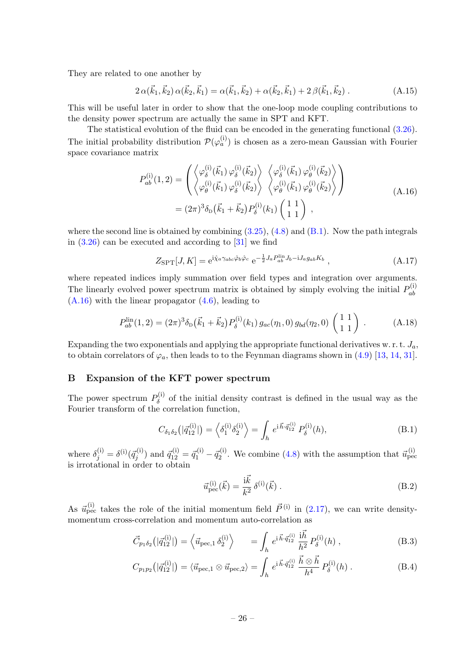They are related to one another by

<span id="page-26-5"></span>
$$
2\,\alpha(\vec{k}_1,\vec{k}_2)\,\alpha(\vec{k}_2,\vec{k}_1) = \alpha(\vec{k}_1,\vec{k}_2) + \alpha(\vec{k}_2,\vec{k}_1) + 2\,\beta(\vec{k}_1,\vec{k}_2) \,. \tag{A.15}
$$

This will be useful later in order to show that the one-loop mode coupling contributions to the density power spectrum are actually the same in SPT and KFT.

The statistical evolution of the fluid can be encoded in the generating functional [\(3.26\)](#page-12-5). The initial probability distribution  $\mathcal{P}(\varphi_a^{(i)})$  is chosen as a zero-mean Gaussian with Fourier space covariance matrix

$$
P_{ab}^{(i)}(1,2) = \begin{pmatrix} \left\langle \varphi_{\delta}^{(i)}(\vec{k}_{1}) \varphi_{\delta}^{(i)}(\vec{k}_{2}) \right\rangle & \left\langle \varphi_{\delta}^{(i)}(\vec{k}_{1}) \varphi_{\theta}^{(i)}(\vec{k}_{2}) \right\rangle \\ \left\langle \varphi_{\theta}^{(i)}(\vec{k}_{1}) \varphi_{\delta}^{(i)}(\vec{k}_{2}) \right\rangle & \left\langle \varphi_{\theta}^{(i)}(\vec{k}_{1}) \varphi_{\theta}^{(i)}(\vec{k}_{2}) \right\rangle \end{pmatrix}
$$
  
=  $(2\pi)^{3} \delta_{\text{D}}(\vec{k}_{1} + \vec{k}_{2}) P_{\delta}^{(i)}(k_{1}) \begin{pmatrix} 1 & 1 \\ 1 & 1 \end{pmatrix} ,$  (A.16)

<span id="page-26-4"></span>where the second line is obtained by combining  $(3.25)$ ,  $(4.8)$  and  $(B.1)$ . Now the path integrals in  $(3.26)$  can be executed and according to  $[31]$  we find

<span id="page-26-1"></span>
$$
Z_{\rm SPT}[J,K] = e^{i\hat{\chi}_a \gamma_{abc} \hat{\varphi}_b \hat{\varphi}_c} e^{-\frac{1}{2} J_a P_{ab}^{\rm lin} J_b - i J_a g_{ab} K_b}, \qquad (A.17)
$$

where repeated indices imply summation over field types and integration over arguments. The linearly evolved power spectrum matrix is obtained by simply evolving the initial  $P_{ab}^{(i)}$ ab [\(A.16\)](#page-26-4) with the linear propagator [\(4.6\)](#page-14-1), leading to

<span id="page-26-2"></span>
$$
P_{ab}^{\rm lin}(1,2) = (2\pi)^3 \delta_{\rm D}(\vec{k}_1 + \vec{k}_2) P_{\delta}^{(i)}(k_1) g_{ac}(\eta_1,0) g_{bd}(\eta_2,0) \begin{pmatrix} 1 & 1 \\ 1 & 1 \end{pmatrix} . \tag{A.18}
$$

Expanding the two exponentials and applying the appropriate functional derivatives w.r.t.  $J_a$ , to obtain correlators of  $\varphi_a$ , then leads to to the Feynman diagrams shown in [\(4.9\)](#page-14-2) [\[13,](#page-30-13) [14,](#page-30-1) [31\]](#page-31-3).

#### <span id="page-26-0"></span>B Expansion of the KFT power spectrum

The power spectrum  $P_{\delta}^{(i)}$  $\delta^{(1)}$  of the initial density contrast is defined in the usual way as the Fourier transform of the correlation function,

<span id="page-26-3"></span>
$$
C_{\delta_1 \delta_2}(|\vec{q}_{12}^{(i)}|) = \left\langle \delta_1^{(i)} \delta_2^{(i)} \right\rangle = \int_h e^{i \vec{h} \cdot \vec{q}_{12}^{(i)}} P_\delta^{(i)}(h), \tag{B.1}
$$

where  $\delta_j^{(i)} = \delta^{(i)}(\vec{q}_j^{(i)})$  and  $\vec{q}_{12}^{(i)} = \vec{q}_1^{(i)} - \vec{q}_2^{(i)}$ . We combine [\(4.8\)](#page-14-0) with the assumption that  $\vec{u}_{\text{pec}}^{(i)}$ is irrotational in order to obtain

$$
\vec{u}_{\rm pec}^{(i)}(\vec{k}) = \frac{\mathrm{i}\vec{k}}{k^2} \,\delta^{(i)}(\vec{k}) \,. \tag{B.2}
$$

As  $\vec{u}_{\text{pec}}^{(i)}$  takes the role of the initial momentum field  $\vec{P}^{(i)}$  in [\(2.17\)](#page-6-1), we can write densitymomentum cross-correlation and momentum auto-correlation as

$$
\vec{C}_{p_1 \delta_2}(|\vec{q}_{12}^{(i)}|) = \left\langle \vec{u}_{\text{pec},1} \, \delta_2^{(i)} \right\rangle \qquad = \int_h e^{i \vec{h} \cdot \vec{q}_{12}^{(i)}} \, \frac{i \vec{h}}{h^2} \, P_\delta^{(i)}(h) \;, \tag{B.3}
$$

$$
C_{p_1p_2}(|\vec{q}_{12}^{(i)}|) = \langle \vec{u}_{\text{pec},1} \otimes \vec{u}_{\text{pec},2} \rangle = \int_h e^{i \vec{h} \cdot \vec{q}_{12}^{(i)}} \frac{\vec{h} \otimes \vec{h}}{h^4} P_\delta^{(i)}(h) . \tag{B.4}
$$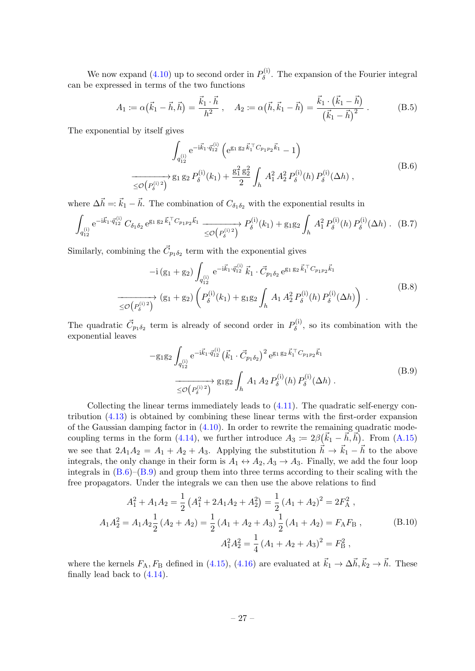We now expand [\(4.10\)](#page-15-1) up to second order in  $P_{\delta}^{(i)}$  $\delta^{\left(1\right)}$ . The expansion of the Fourier integral can be expressed in terms of the two functions

$$
A_1 \coloneqq \alpha(\vec{k}_1 - \vec{h}, \vec{h}) = \frac{\vec{k}_1 \cdot \vec{h}}{h^2}, \quad A_2 \coloneqq \alpha(\vec{h}, \vec{k}_1 - \vec{h}) = \frac{\vec{k}_1 \cdot (\vec{k}_1 - \vec{h})}{(\vec{k}_1 - \vec{h})^2}.
$$
 (B.5)

<span id="page-27-0"></span>The exponential by itself gives

$$
\int_{q_{12}^{(i)}} e^{-i\vec{k}_1 \cdot \vec{q}_{12}^{(i)}} \left( e^{g_1 g_2 \vec{k}_1 \cdot \vec{C}_{p_1 p_2} \vec{k}_1} - 1 \right)
$$
\n
$$
\xrightarrow[\leq \mathcal{O}(P_\delta^{(i)2})]{} g_1 g_2 P_\delta^{(i)}(k_1) + \frac{g_1^2 g_2^2}{2} \int_h A_1^2 A_2^2 P_\delta^{(i)}(h) P_\delta^{(i)}(\Delta h), \qquad (B.6)
$$

where  $\Delta \vec{h} =: \vec{k}_1 - \vec{h}$ . The combination of  $C_{\delta_1 \delta_2}$  with the exponential results in

$$
\int_{q_{12}^{(i)}} e^{-i\vec{k}_1 \cdot \vec{q}_{12}^{(i)}} C_{\delta_1 \delta_2} e^{g_1 g_2 \vec{k}_1 \cdot \vec{C}_{p_1 p_2} \vec{k}_1} \xrightarrow[\leq \mathcal{O}(P_\delta^{(i)2})]{\mathcal{O}(P_\delta^{(i)}^2)} P_\delta^{(i)}(k_1) + g_1 g_2 \int_h A_1^2 P_\delta^{(i)}(h) P_\delta^{(i)}(\Delta h) . \quad (B.7)
$$

Similarly, combining the  $\vec{C}_{p_1 \delta_2}$  term with the exponential gives

$$
-i(g_1+g_2)\int_{q_{12}^{(i)}} e^{-i\vec{k}_1 \cdot \vec{q}_{12}^{(i)}} \vec{k}_1 \cdot \vec{C}_{p_1 \delta_2} e^{g_1 g_2 \vec{k}_1 \cdot \vec{C}_{p_1 p_2} \vec{k}_1}
$$
  
\n
$$
\xrightarrow[\leq \mathcal{O}(P_\delta^{(i)2})]{} (g_1+g_2) \left( P_\delta^{(i)}(k_1) + g_1 g_2 \int_h A_1 A_2^2 P_\delta^{(i)}(h) P_\delta^{(i)}(\Delta h) \right).
$$
\n(B.8)

The quadratic  $\vec{C}_{p_1\delta_2}$  term is already of second order in  $P_\delta^{(i)}$  $\delta^{(1)}$ , so its combination with the exponential leaves

$$
-g_1g_2 \int_{q_{12}^{(i)}} e^{-i\vec{k}_1 \cdot \vec{q}_{12}^{(i)}} (\vec{k}_1 \cdot \vec{C}_{p_1 \delta_2})^2 e^{g_1 g_2 \vec{k}_1 \cdot \vec{C}_{p_1 p_2} \vec{k}_1}
$$
  
\n
$$
\xrightarrow{\leq \mathcal{O}(P_{\delta}^{(i)2})} g_1g_2 \int_h A_1 A_2 P_{\delta}^{(i)}(h) P_{\delta}^{(i)}(\Delta h) .
$$
\n(B.9)

<span id="page-27-1"></span>Collecting the linear terms immediately leads to  $(4.11)$ . The quadratic self-energy contribution [\(4.13\)](#page-15-4) is obtained by combining these linear terms with the first-order expansion of the Gaussian damping factor in [\(4.10\)](#page-15-1). In order to rewrite the remaining quadratic mode-coupling terms in the form [\(4.14\)](#page-15-2), we further introduce  $A_3 := 2\beta(\vec{k}_1 - \vec{k}, \vec{h})$ . From [\(A.15\)](#page-26-5) we see that  $2A_1A_2 = A_1 + A_2 + A_3$ . Applying the substitution  $\vec{h} \rightarrow \vec{k}_1 - \vec{h}$  to the above integrals, the only change in their form is  $A_1 \leftrightarrow A_2, A_3 \rightarrow A_3$ . Finally, we add the four loop integrals in  $(B.6)$ – $(B.9)$  and group them into three terms according to their scaling with the free propagators. Under the integrals we can then use the above relations to find

$$
A_1^2 + A_1 A_2 = \frac{1}{2} (A_1^2 + 2A_1 A_2 + A_2^2) = \frac{1}{2} (A_1 + A_2)^2 = 2F_A^2,
$$
  

$$
A_1 A_2^2 = A_1 A_2 \frac{1}{2} (A_2 + A_2) = \frac{1}{2} (A_1 + A_2 + A_3) \frac{1}{2} (A_1 + A_2) = F_A F_B,
$$
(B.10)  

$$
A_1^2 A_2^2 = \frac{1}{4} (A_1 + A_2 + A_3)^2 = F_B^2,
$$

where the kernels  $F_A, F_B$  defined in [\(4.15\)](#page-15-5), [\(4.16\)](#page-15-6) are evaluated at  $\vec{k}_1 \to \Delta \vec{h}, \vec{k}_2 \to \vec{h}$ . These finally lead back to  $(4.14)$ .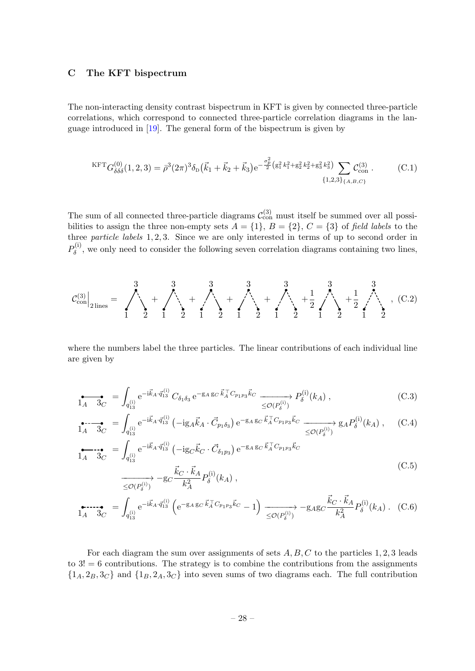### <span id="page-28-0"></span>C The KFT bispectrum

The non-interacting density contrast bispectrum in KFT is given by connected three-particle correlations, which correspond to connected three-particle correlation diagrams in the language introduced in [\[19\]](#page-31-8). The general form of the bispectrum is given by

<span id="page-28-1"></span>
$$
KFT_{G_{\delta\delta\delta}^{(0)}}(1,2,3) = \bar{\rho}^3 (2\pi)^3 \delta_{\rm D}(\vec{k}_1 + \vec{k}_2 + \vec{k}_3) e^{-\frac{\sigma_p^2}{2} \left(g_1^2 k_1^2 + g_2^2 k_2^2 + g_3^2 k_3^2\right)} \sum_{\{1,2,3\}} C_{\rm con}^{(3)}.
$$
 (C.1)

The sum of all connected three-particle diagrams  $\mathcal{C}^{(3)}_{\text{con}}$  must itself be summed over all possibilities to assign the three non-empty sets  $A = \{1\}$ ,  $B = \{2\}$ ,  $C = \{3\}$  of field labels to the three particle labels 1, 2, 3. Since we are only interested in terms of up to second order in  $P_\delta^\mathrm{(i)}$  $\delta^{(1)}$ , we only need to consider the following seven correlation diagrams containing two lines,

C (3) con 2 lines = 1 2 3 + 1 2 3 + 1 2 3 + 1 2 3 + 1 2 3 + 1 2 1 2 3 + 1 2 1 2 3 , (C.2)

where the numbers label the three particles. The linear contributions of each individual line are given by

$$
\sum_{1A} \frac{1}{3C} = \int_{q_{13}^{(i)}} e^{-i\vec{k}_A \cdot \vec{q}_{13}^{(i)}} C_{\delta_1 \delta_3} e^{-g_A g_C \vec{k}_A^{\top} C_{p_1 p_3} \vec{k}_C} \xrightarrow[\leq \mathcal{O}(P_{\delta}^{(i)})]{} P_{\delta}^{(i)}(k_A) ,
$$
 (C.3)

$$
\sum_{1A} \sum_{3C} = \int_{q_{13}^{(i)}} e^{-i\vec{k}_A \cdot \vec{q}_{13}^{(i)}} \left( -ig_A \vec{k}_A \cdot \vec{C}_{p_1 \delta_3} \right) e^{-g_A g_C \vec{k}_A^{\top} C_{p_1 p_3} \vec{k}_C} \xrightarrow{\leq \mathcal{O}(P_{\delta}^{(i)})} g_A P_{\delta}^{(i)}(k_A) , \quad (C.4)
$$

$$
\sum_{1_A}^{S} = \int_{q_{13}^{(i)}} e^{-i\vec{k}_A \cdot \vec{q}_{13}^{(i)}} \left( -ig_C \vec{k}_C \cdot \vec{C}_{\delta_1 p_3} \right) e^{-g_A g_C \vec{k}_A^{\top} C_{p_1 p_3} \vec{k}_C} \left( C \cdot 5 \right)
$$
\n
$$
\xrightarrow[\leq \mathcal{O}(P_{\delta}^{(i)})]{} \xrightarrow[\leq \mathcal{O}(P_{\delta}^{(i)})]{} \tag{C.5}
$$

$$
\sum_{1A} \sum_{3C} = \int_{q_{13}^{(i)}} e^{-i\vec{k}_A \cdot \vec{q}_{13}^{(i)}} \left( e^{-g_A g_C \vec{k}_A^\top C_{p_1 p_3} \vec{k}_C} - 1 \right) \xrightarrow{\leq \mathcal{O}(P_\delta^{(i)})} -g_{A} g_C \frac{\vec{k}_C \cdot \vec{k}_A}{k_A^2} P_\delta^{(i)}(k_A) \ . \tag{C.6}
$$

For each diagram the sum over assignments of sets  $A, B, C$  to the particles 1, 2, 3 leads to  $3! = 6$  contributions. The strategy is to combine the contributions from the assignments  $\{1_A, 2_B, 3_C\}$  and  $\{1_B, 2_A, 3_C\}$  into seven sums of two diagrams each. The full contribution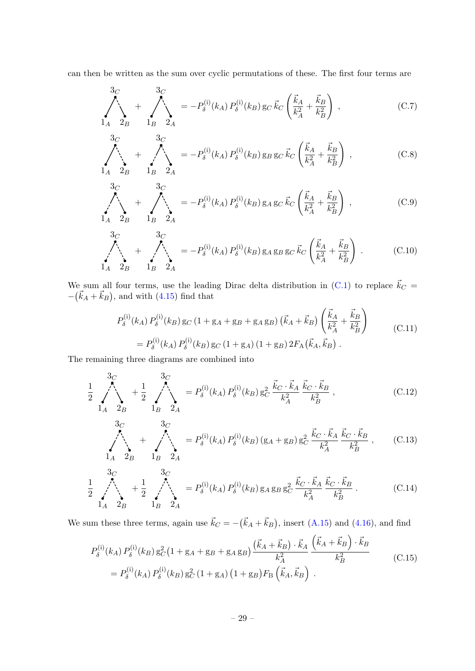can then be written as the sum over cyclic permutations of these. The first four terms are

$$
\sum_{1_A}^{3_C} + \sum_{2_B}^{3_C} = -P_\delta^{(i)}(k_A) P_\delta^{(i)}(k_B) g_C \vec{k}_C \left( \frac{\vec{k}_A}{k_A^2} + \frac{\vec{k}_B}{k_B^2} \right) , \qquad (C.7)
$$

$$
\sum_{1_A}^{3_C} + \sum_{2_B}^{3_C} = -P_\delta^{(i)}(k_A) P_\delta^{(i)}(k_B) g_B g_C \vec{k}_C \left( \frac{\vec{k}_A}{k_A^2} + \frac{\vec{k}_B}{k_B^2} \right) , \qquad (C.8)
$$

$$
\sum_{1_A}^{3_C} + \sum_{2_B}^{3_C} = -P_\delta^{(i)}(k_A) P_\delta^{(i)}(k_B) g_A g_C \vec{k}_C \left( \frac{\vec{k}_A}{k_A^2} + \frac{\vec{k}_B}{k_B^2} \right) , \qquad (C.9)
$$

$$
\sum_{1_A}^{3_C} + \sum_{2_B}^{3_C} = -P_\delta^{(i)}(k_A) P_\delta^{(i)}(k_B) g_A g_B g_C \vec{k}_C \left( \frac{\vec{k}_A}{k_A^2} + \frac{\vec{k}_B}{k_B^2} \right) . \tag{C.10}
$$

We sum all four terms, use the leading Dirac delta distribution in [\(C.1\)](#page-28-1) to replace  $\vec{k}_C =$  $-(\vec{k}_A + \vec{k}_B)$ , and with [\(4.15\)](#page-15-5) find that

$$
P_{\delta}^{(i)}(k_A) P_{\delta}^{(i)}(k_B) g_C (1 + g_A + g_B + g_A g_B) (\vec{k}_A + \vec{k}_B) \left( \frac{\vec{k}_A}{k_A^2} + \frac{\vec{k}_B}{k_B^2} \right)
$$
  
= 
$$
P_{\delta}^{(i)}(k_A) P_{\delta}^{(i)}(k_B) g_C (1 + g_A) (1 + g_B) 2F_A (\vec{k}_A, \vec{k}_B).
$$
 (C.11)

<span id="page-29-0"></span>The remaining three diagrams are combined into

$$
\frac{1}{2} \sum_{\substack{A \\ 1_A = 2_B}}^{3_C} + \frac{1}{2} \sum_{\substack{B \\ 1_B = 2_A}}^{3_C} = P_\delta^{(i)}(k_A) P_\delta^{(i)}(k_B) g_C^2 \frac{\vec{k}_C \cdot \vec{k}_A}{k_A^2} \frac{\vec{k}_C \cdot \vec{k}_B}{k_B^2}, \qquad (C.12)
$$

$$
\sum_{1_A}^{3_C} + \sum_{2_B}^{3_C} = P_{\delta}^{(i)}(k_A) P_{\delta}^{(i)}(k_B) (g_A + g_B) g_C^2 \frac{\vec{k}_C \cdot \vec{k}_A}{k_A^2} \frac{\vec{k}_C \cdot \vec{k}_B}{k_B^2} , \quad (C.13)
$$

$$
\frac{1}{2} \sum_{1A}^{3C} + \frac{1}{2} \sum_{1B}^{3C} = P_{\delta}^{(i)}(k_A) P_{\delta}^{(i)}(k_B) g_A g_B g_C^2 \frac{\vec{k}_C \cdot \vec{k}_A}{k_A^2} \frac{\vec{k}_C \cdot \vec{k}_B}{k_B^2}.
$$
 (C.14)

We sum these three terms, again use  $\vec{k}_C = -(\vec{k}_A + \vec{k}_B)$ , insert [\(A.15\)](#page-26-5) and [\(4.16\)](#page-15-6), and find

<span id="page-29-1"></span>
$$
P_{\delta}^{(i)}(k_A) P_{\delta}^{(i)}(k_B) g_C^2 (1 + g_A + g_B + g_A g_B) \frac{(\vec{k}_A + \vec{k}_B) \cdot \vec{k}_A}{k_A^2} \frac{(\vec{k}_A + \vec{k}_B) \cdot \vec{k}_B}{k_B^2}
$$
  
= 
$$
P_{\delta}^{(i)}(k_A) P_{\delta}^{(i)}(k_B) g_C^2 (1 + g_A) (1 + g_B) F_B (\vec{k}_A, \vec{k}_B).
$$
 (C.15)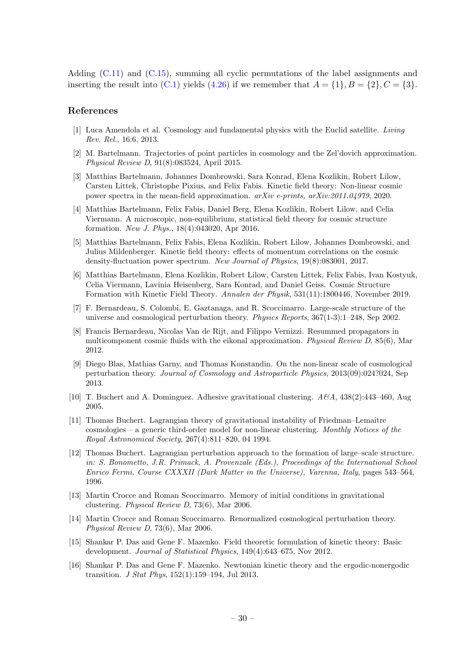Adding [\(C.11\)](#page-29-0) and [\(C.15\)](#page-29-1), summing all cyclic permutations of the label assignments and inserting the result into  $(C.1)$  yields  $(4.26)$  if we remember that  $A = \{1\}, B = \{2\}, C = \{3\}.$ 

#### References

- <span id="page-30-0"></span>[1] Luca Amendola et al. Cosmology and fundamental physics with the Euclid satellite. Living Rev. Rel., 16:6, 2013.
- <span id="page-30-6"></span>[2] M. Bartelmann. Trajectories of point particles in cosmology and the Zel'dovich approximation. Physical Review D, 91(8):083524, April 2015.
- <span id="page-30-8"></span>[3] Matthias Bartelmann, Johannes Dombrowski, Sara Konrad, Elena Kozlikin, Robert Lilow, Carsten Littek, Christophe Pixius, and Felix Fabis. Kinetic field theory: Non-linear cosmic power spectra in the mean-field approximation. arXiv e-prints, arXiv:2011.04979, 2020.
- <span id="page-30-2"></span>[4] Matthias Bartelmann, Felix Fabis, Daniel Berg, Elena Kozlikin, Robert Lilow, and Celia Viermann. A microscopic, non-equilibrium, statistical field theory for cosmic structure formation. New J. Phys., 18(4):043020, Apr 2016.
- <span id="page-30-7"></span>[5] Matthias Bartelmann, Felix Fabis, Elena Kozlikin, Robert Lilow, Johannes Dombrowski, and Julius Mildenberger. Kinetic field theory: effects of momentum correlations on the cosmic density-fluctuation power spectrum. New Journal of Physics, 19(8):083001, 2017.
- <span id="page-30-3"></span>[6] Matthias Bartelmann, Elena Kozlikin, Robert Lilow, Carsten Littek, Felix Fabis, Ivan Kostyuk, Celia Viermann, Lavinia Heisenberg, Sara Konrad, and Daniel Geiss. Cosmic Structure Formation with Kinetic Field Theory. Annalen der Physik, 531(11):1800446, November 2019.
- <span id="page-30-10"></span>[7] F. Bernardeau, S. Colombi, E. Gaztanaga, and R. Scoccimarro. Large-scale structure of the universe and cosmological perturbation theory. Physics Reports, 367(1-3):1–248, Sep 2002.
- <span id="page-30-14"></span>[8] Francis Bernardeau, Nicolas Van de Rijt, and Filippo Vernizzi. Resummed propagators in multicomponent cosmic fluids with the eikonal approximation. Physical Review  $D$ , 85(6), Mar 2012.
- <span id="page-30-15"></span>[9] Diego Blas, Mathias Garny, and Thomas Konstandin. On the non-linear scale of cosmological perturbation theory. Journal of Cosmology and Astroparticle Physics, 2013(09):024?024, Sep 2013.
- <span id="page-30-9"></span>[10] T. Buchert and A. Dominguez. Adhesive gravitational clustering.  $A\mathcal{B}A$ , 438(2):443-460, Aug 2005.
- <span id="page-30-11"></span>[11] Thomas Buchert. Lagrangian theory of gravitational instability of Friedman–Lemaître cosmologies – a generic third-order model for non-linear clustering. Monthly Notices of the Royal Astronomical Society, 267(4):811–820, 04 1994.
- <span id="page-30-12"></span>[12] Thomas Buchert. Lagrangian perturbation approach to the formation of large–scale structure. in: S. Bonometto, J.R. Primack, A. Provenzale (Eds.), Proceedings of the International School Enrico Fermi, Course CXXXII (Dark Matter in the Universe), Varenna, Italy, pages 543–564, 1996.
- <span id="page-30-13"></span>[13] Martin Crocce and Roman Scoccimarro. Memory of initial conditions in gravitational clustering. Physical Review D, 73(6), Mar 2006.
- <span id="page-30-1"></span>[14] Martin Crocce and Roman Scoccimarro. Renormalized cosmological perturbation theory. Physical Review D, 73(6), Mar 2006.
- <span id="page-30-4"></span>[15] Shankar P. Das and Gene F. Mazenko. Field theoretic formulation of kinetic theory: Basic development. Journal of Statistical Physics, 149(4):643–675, Nov 2012.
- <span id="page-30-5"></span>[16] Shankar P. Das and Gene F. Mazenko. Newtonian kinetic theory and the ergodic-nonergodic transition. J Stat Phys, 152(1):159–194, Jul 2013.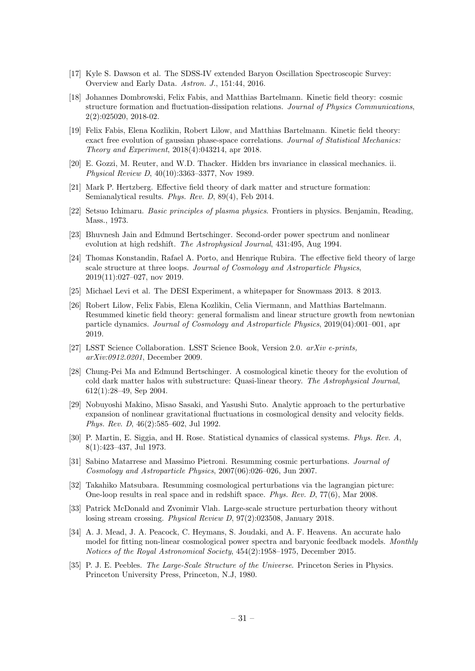- <span id="page-31-0"></span>[17] Kyle S. Dawson et al. The SDSS-IV extended Baryon Oscillation Spectroscopic Survey: Overview and Early Data. Astron. J., 151:44, 2016.
- <span id="page-31-15"></span>[18] Johannes Dombrowski, Felix Fabis, and Matthias Bartelmann. Kinetic field theory: cosmic structure formation and fluctuation-dissipation relations. Journal of Physics Communications, 2(2):025020, 2018-02.
- <span id="page-31-8"></span>[19] Felix Fabis, Elena Kozlikin, Robert Lilow, and Matthias Bartelmann. Kinetic field theory: exact free evolution of gaussian phase-space correlations. Journal of Statistical Mechanics: Theory and Experiment, 2018(4):043214, apr 2018.
- <span id="page-31-6"></span>[20] E. Gozzi, M. Reuter, and W.D. Thacker. Hidden brs invariance in classical mechanics. ii. Physical Review D, 40(10):3363–3377, Nov 1989.
- <span id="page-31-4"></span>[21] Mark P. Hertzberg. Effective field theory of dark matter and structure formation: Semianalytical results. Phys. Rev. D, 89(4), Feb 2014.
- <span id="page-31-9"></span>[22] Setsuo Ichimaru. Basic principles of plasma physics. Frontiers in physics. Benjamin, Reading, Mass., 1973.
- <span id="page-31-16"></span>[23] Bhuvnesh Jain and Edmund Bertschinger. Second-order power spectrum and nonlinear evolution at high redshift. The Astrophysical Journal, 431:495, Aug 1994.
- <span id="page-31-5"></span>[24] Thomas Konstandin, Rafael A. Porto, and Henrique Rubira. The effective field theory of large scale structure at three loops. Journal of Cosmology and Astroparticle Physics, 2019(11):027–027, nov 2019.
- <span id="page-31-1"></span>[25] Michael Levi et al. The DESI Experiment, a whitepaper for Snowmass 2013. 8 2013.
- <span id="page-31-13"></span>[26] Robert Lilow, Felix Fabis, Elena Kozlikin, Celia Viermann, and Matthias Bartelmann. Resummed kinetic field theory: general formalism and linear structure growth from newtonian particle dynamics. Journal of Cosmology and Astroparticle Physics, 2019(04):001–001, apr 2019.
- <span id="page-31-2"></span>[27] LSST Science Collaboration. LSST Science Book, Version 2.0. arXiv e-prints, arXiv:0912.0201, December 2009.
- <span id="page-31-10"></span>[28] Chung-Pei Ma and Edmund Bertschinger. A cosmological kinetic theory for the evolution of cold dark matter halos with substructure: Quasi-linear theory. The Astrophysical Journal, 612(1):28–49, Sep 2004.
- <span id="page-31-17"></span>[29] Nobuyoshi Makino, Misao Sasaki, and Yasushi Suto. Analytic approach to the perturbative expansion of nonlinear gravitational fluctuations in cosmological density and velocity fields. Phys. Rev. D, 46(2):585–602, Jul 1992.
- <span id="page-31-7"></span>[30] P. Martin, E. Siggia, and H. Rose. Statistical dynamics of classical systems. Phys. Rev. A, 8(1):423–437, Jul 1973.
- <span id="page-31-3"></span>[31] Sabino Matarrese and Massimo Pietroni. Resumming cosmic perturbations. Journal of Cosmology and Astroparticle Physics, 2007(06):026–026, Jun 2007.
- <span id="page-31-18"></span>[32] Takahiko Matsubara. Resumming cosmological perturbations via the lagrangian picture: One-loop results in real space and in redshift space. Phys. Rev. D, 77(6), Mar 2008.
- <span id="page-31-12"></span>[33] Patrick McDonald and Zvonimir Vlah. Large-scale structure perturbation theory without losing stream crossing. Physical Review D, 97(2):023508, January 2018.
- <span id="page-31-11"></span>[34] A. J. Mead, J. A. Peacock, C. Heymans, S. Joudaki, and A. F. Heavens. An accurate halo model for fitting non-linear cosmological power spectra and baryonic feedback models. Monthly Notices of the Royal Astronomical Society, 454(2):1958–1975, December 2015.
- <span id="page-31-14"></span>[35] P. J. E. Peebles. The Large-Scale Structure of the Universe. Princeton Series in Physics. Princeton University Press, Princeton, N.J, 1980.